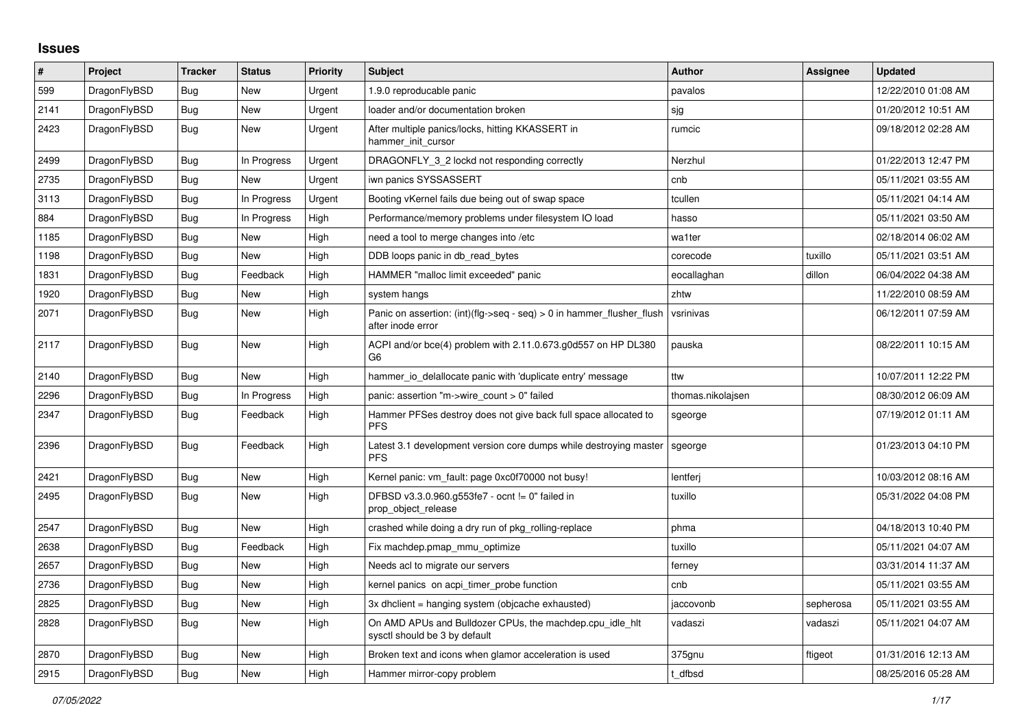## **Issues**

| $\pmb{\#}$ | Project      | <b>Tracker</b> | <b>Status</b> | <b>Priority</b> | <b>Subject</b>                                                                             | <b>Author</b>     | Assignee  | <b>Updated</b>      |
|------------|--------------|----------------|---------------|-----------------|--------------------------------------------------------------------------------------------|-------------------|-----------|---------------------|
| 599        | DragonFlyBSD | <b>Bug</b>     | <b>New</b>    | Urgent          | 1.9.0 reproducable panic                                                                   | pavalos           |           | 12/22/2010 01:08 AM |
| 2141       | DragonFlyBSD | <b>Bug</b>     | <b>New</b>    | Urgent          | loader and/or documentation broken                                                         | sjg               |           | 01/20/2012 10:51 AM |
| 2423       | DragonFlyBSD | Bug            | New           | Urgent          | After multiple panics/locks, hitting KKASSERT in<br>hammer_init_cursor                     | rumcic            |           | 09/18/2012 02:28 AM |
| 2499       | DragonFlyBSD | Bug            | In Progress   | Urgent          | DRAGONFLY 3 2 lockd not responding correctly                                               | Nerzhul           |           | 01/22/2013 12:47 PM |
| 2735       | DragonFlyBSD | Bug            | New           | Urgent          | iwn panics SYSSASSERT                                                                      | cnb               |           | 05/11/2021 03:55 AM |
| 3113       | DragonFlyBSD | <b>Bug</b>     | In Progress   | Urgent          | Booting vKernel fails due being out of swap space                                          | tcullen           |           | 05/11/2021 04:14 AM |
| 884        | DragonFlyBSD | Bug            | In Progress   | High            | Performance/memory problems under filesystem IO load                                       | hasso             |           | 05/11/2021 03:50 AM |
| 1185       | DragonFlyBSD | Bug            | <b>New</b>    | High            | need a tool to merge changes into /etc                                                     | wa1ter            |           | 02/18/2014 06:02 AM |
| 1198       | DragonFlyBSD | Bug            | New           | High            | DDB loops panic in db read bytes                                                           | corecode          | tuxillo   | 05/11/2021 03:51 AM |
| 1831       | DragonFlyBSD | Bug            | Feedback      | High            | HAMMER "malloc limit exceeded" panic                                                       | eocallaghan       | dillon    | 06/04/2022 04:38 AM |
| 1920       | DragonFlyBSD | Bug            | New           | High            | system hangs                                                                               | zhtw              |           | 11/22/2010 08:59 AM |
| 2071       | DragonFlyBSD | Bug            | <b>New</b>    | High            | Panic on assertion: (int)(flg->seq - seq) > 0 in hammer_flusher_flush<br>after inode error | vsrinivas         |           | 06/12/2011 07:59 AM |
| 2117       | DragonFlyBSD | Bug            | <b>New</b>    | High            | ACPI and/or bce(4) problem with 2.11.0.673.g0d557 on HP DL380<br>G <sub>6</sub>            | pauska            |           | 08/22/2011 10:15 AM |
| 2140       | DragonFlyBSD | <b>Bug</b>     | <b>New</b>    | High            | hammer io delallocate panic with 'duplicate entry' message                                 | ttw               |           | 10/07/2011 12:22 PM |
| 2296       | DragonFlyBSD | Bug            | In Progress   | High            | panic: assertion "m->wire_count > 0" failed                                                | thomas.nikolajsen |           | 08/30/2012 06:09 AM |
| 2347       | DragonFlyBSD | <b>Bug</b>     | Feedback      | High            | Hammer PFSes destroy does not give back full space allocated to<br><b>PFS</b>              | sgeorge           |           | 07/19/2012 01:11 AM |
| 2396       | DragonFlyBSD | <b>Bug</b>     | Feedback      | High            | Latest 3.1 development version core dumps while destroying master<br><b>PFS</b>            | sgeorge           |           | 01/23/2013 04:10 PM |
| 2421       | DragonFlyBSD | Bug            | <b>New</b>    | High            | Kernel panic: vm fault: page 0xc0f70000 not busy!                                          | lentferj          |           | 10/03/2012 08:16 AM |
| 2495       | DragonFlyBSD | Bug            | New           | High            | DFBSD v3.3.0.960.g553fe7 - ocnt != 0" failed in<br>prop_object_release                     | tuxillo           |           | 05/31/2022 04:08 PM |
| 2547       | DragonFlyBSD | Bug            | <b>New</b>    | High            | crashed while doing a dry run of pkg_rolling-replace                                       | phma              |           | 04/18/2013 10:40 PM |
| 2638       | DragonFlyBSD | Bug            | Feedback      | High            | Fix machdep.pmap mmu optimize                                                              | tuxillo           |           | 05/11/2021 04:07 AM |
| 2657       | DragonFlyBSD | Bug            | <b>New</b>    | High            | Needs acl to migrate our servers                                                           | ferney            |           | 03/31/2014 11:37 AM |
| 2736       | DragonFlyBSD | Bug            | <b>New</b>    | High            | kernel panics on acpi timer probe function                                                 | cnb               |           | 05/11/2021 03:55 AM |
| 2825       | DragonFlyBSD | Bug            | New           | High            | 3x dhclient = hanging system (objcache exhausted)                                          | jaccovonb         | sepherosa | 05/11/2021 03:55 AM |
| 2828       | DragonFlyBSD | Bug            | <b>New</b>    | High            | On AMD APUs and Bulldozer CPUs, the machdep.cpu_idle_hlt<br>sysctl should be 3 by default  | vadaszi           | vadaszi   | 05/11/2021 04:07 AM |
| 2870       | DragonFlyBSD | Bug            | <b>New</b>    | High            | Broken text and icons when glamor acceleration is used                                     | 375gnu            | ftigeot   | 01/31/2016 12:13 AM |
| 2915       | DragonFlyBSD | Bug            | New           | High            | Hammer mirror-copy problem                                                                 | t dfbsd           |           | 08/25/2016 05:28 AM |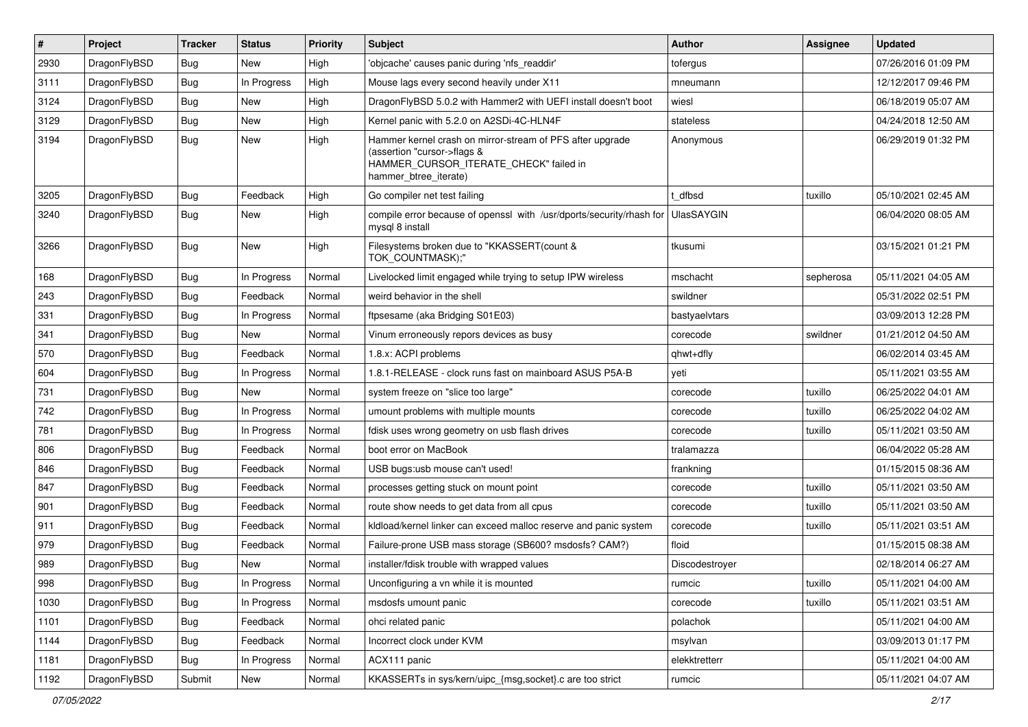| #    | Project      | <b>Tracker</b> | <b>Status</b> | <b>Priority</b> | Subject                                                                                                                                                     | <b>Author</b>     | Assignee  | <b>Updated</b>      |
|------|--------------|----------------|---------------|-----------------|-------------------------------------------------------------------------------------------------------------------------------------------------------------|-------------------|-----------|---------------------|
| 2930 | DragonFlyBSD | <b>Bug</b>     | New           | High            | 'objcache' causes panic during 'nfs readdir'                                                                                                                | tofergus          |           | 07/26/2016 01:09 PM |
| 3111 | DragonFlyBSD | Bug            | In Progress   | High            | Mouse lags every second heavily under X11                                                                                                                   | mneumann          |           | 12/12/2017 09:46 PM |
| 3124 | DragonFlyBSD | <b>Bug</b>     | New           | High            | DragonFlyBSD 5.0.2 with Hammer2 with UEFI install doesn't boot                                                                                              | wiesl             |           | 06/18/2019 05:07 AM |
| 3129 | DragonFlyBSD | <b>Bug</b>     | New           | High            | Kernel panic with 5.2.0 on A2SDi-4C-HLN4F                                                                                                                   | stateless         |           | 04/24/2018 12:50 AM |
| 3194 | DragonFlyBSD | Bug            | <b>New</b>    | High            | Hammer kernel crash on mirror-stream of PFS after upgrade<br>(assertion "cursor->flags &<br>HAMMER_CURSOR_ITERATE_CHECK" failed in<br>hammer_btree_iterate) | Anonymous         |           | 06/29/2019 01:32 PM |
| 3205 | DragonFlyBSD | Bug            | Feedback      | High            | Go compiler net test failing                                                                                                                                | t dfbsd           | tuxillo   | 05/10/2021 02:45 AM |
| 3240 | DragonFlyBSD | <b>Bug</b>     | New           | High            | compile error because of openssl with /usr/dports/security/rhash for<br>mysql 8 install                                                                     | <b>UlasSAYGIN</b> |           | 06/04/2020 08:05 AM |
| 3266 | DragonFlyBSD | Bug            | New           | High            | Filesystems broken due to "KKASSERT(count &<br>TOK_COUNTMASK);"                                                                                             | tkusumi           |           | 03/15/2021 01:21 PM |
| 168  | DragonFlyBSD | <b>Bug</b>     | In Progress   | Normal          | Livelocked limit engaged while trying to setup IPW wireless                                                                                                 | mschacht          | sepherosa | 05/11/2021 04:05 AM |
| 243  | DragonFlyBSD | <b>Bug</b>     | Feedback      | Normal          | weird behavior in the shell                                                                                                                                 | swildner          |           | 05/31/2022 02:51 PM |
| 331  | DragonFlyBSD | <b>Bug</b>     | In Progress   | Normal          | ftpsesame (aka Bridging S01E03)                                                                                                                             | bastyaelvtars     |           | 03/09/2013 12:28 PM |
| 341  | DragonFlyBSD | <b>Bug</b>     | New           | Normal          | Vinum erroneously repors devices as busy                                                                                                                    | corecode          | swildner  | 01/21/2012 04:50 AM |
| 570  | DragonFlyBSD | <b>Bug</b>     | Feedback      | Normal          | 1.8.x: ACPI problems                                                                                                                                        | qhwt+dfly         |           | 06/02/2014 03:45 AM |
| 604  | DragonFlyBSD | <b>Bug</b>     | In Progress   | Normal          | 1.8.1-RELEASE - clock runs fast on mainboard ASUS P5A-B                                                                                                     | yeti              |           | 05/11/2021 03:55 AM |
| 731  | DragonFlyBSD | <b>Bug</b>     | New           | Normal          | system freeze on "slice too large"                                                                                                                          | corecode          | tuxillo   | 06/25/2022 04:01 AM |
| 742  | DragonFlyBSD | Bug            | In Progress   | Normal          | umount problems with multiple mounts                                                                                                                        | corecode          | tuxillo   | 06/25/2022 04:02 AM |
| 781  | DragonFlyBSD | <b>Bug</b>     | In Progress   | Normal          | fdisk uses wrong geometry on usb flash drives                                                                                                               | corecode          | tuxillo   | 05/11/2021 03:50 AM |
| 806  | DragonFlyBSD | <b>Bug</b>     | Feedback      | Normal          | boot error on MacBook                                                                                                                                       | tralamazza        |           | 06/04/2022 05:28 AM |
| 846  | DragonFlyBSD | <b>Bug</b>     | Feedback      | Normal          | USB bugs:usb mouse can't used!                                                                                                                              | frankning         |           | 01/15/2015 08:36 AM |
| 847  | DragonFlyBSD | <b>Bug</b>     | Feedback      | Normal          | processes getting stuck on mount point                                                                                                                      | corecode          | tuxillo   | 05/11/2021 03:50 AM |
| 901  | DragonFlyBSD | <b>Bug</b>     | Feedback      | Normal          | route show needs to get data from all cpus                                                                                                                  | corecode          | tuxillo   | 05/11/2021 03:50 AM |
| 911  | DragonFlyBSD | <b>Bug</b>     | Feedback      | Normal          | kldload/kernel linker can exceed malloc reserve and panic system                                                                                            | corecode          | tuxillo   | 05/11/2021 03:51 AM |
| 979  | DragonFlyBSD | <b>Bug</b>     | Feedback      | Normal          | Failure-prone USB mass storage (SB600? msdosfs? CAM?)                                                                                                       | floid             |           | 01/15/2015 08:38 AM |
| 989  | DragonFlyBSD | <b>Bug</b>     | New           | Normal          | installer/fdisk trouble with wrapped values                                                                                                                 | Discodestroyer    |           | 02/18/2014 06:27 AM |
| 998  | DragonFlyBSD | <b>Bug</b>     | In Progress   | Normal          | Unconfiguring a vn while it is mounted                                                                                                                      | rumcic            | tuxillo   | 05/11/2021 04:00 AM |
| 1030 | DragonFlyBSD | <b>Bug</b>     | In Progress   | Normal          | msdosfs umount panic                                                                                                                                        | corecode          | tuxillo   | 05/11/2021 03:51 AM |
| 1101 | DragonFlyBSD | <b>Bug</b>     | Feedback      | Normal          | ohci related panic                                                                                                                                          | polachok          |           | 05/11/2021 04:00 AM |
| 1144 | DragonFlyBSD | <b>Bug</b>     | Feedback      | Normal          | Incorrect clock under KVM                                                                                                                                   | msylvan           |           | 03/09/2013 01:17 PM |
| 1181 | DragonFlyBSD | <b>Bug</b>     | In Progress   | Normal          | ACX111 panic                                                                                                                                                | elekktretterr     |           | 05/11/2021 04:00 AM |
| 1192 | DragonFlyBSD | Submit         | New           | Normal          | KKASSERTs in sys/kern/uipc_{msg,socket}.c are too strict                                                                                                    | rumcic            |           | 05/11/2021 04:07 AM |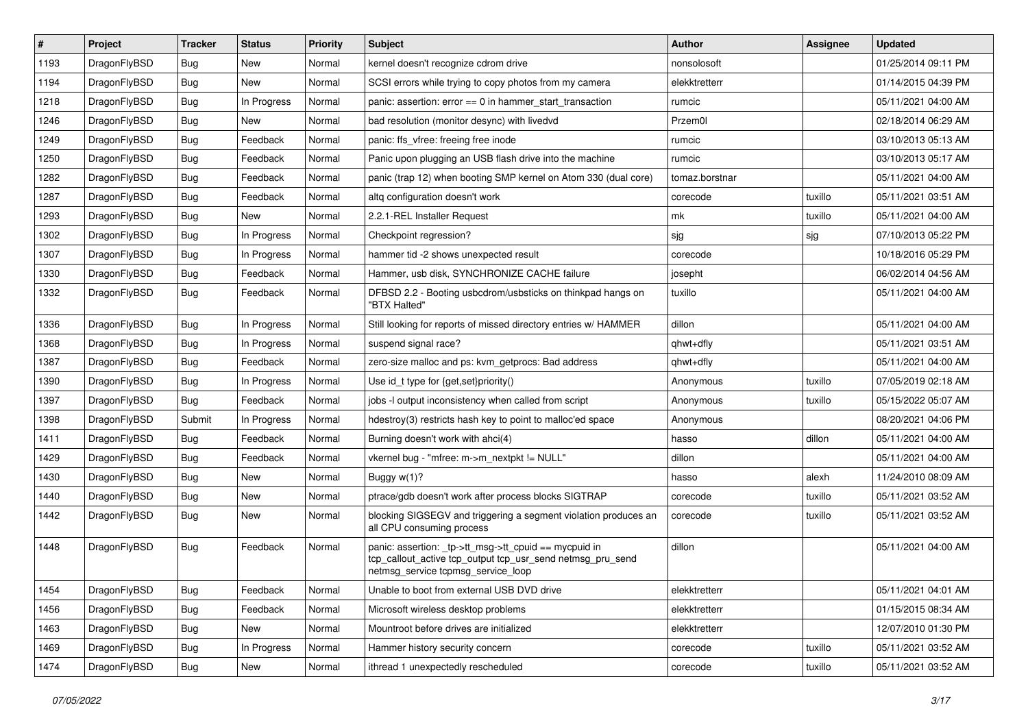| #    | Project      | <b>Tracker</b> | <b>Status</b> | <b>Priority</b> | <b>Subject</b>                                                                                                                                            | Author         | Assignee | <b>Updated</b>      |
|------|--------------|----------------|---------------|-----------------|-----------------------------------------------------------------------------------------------------------------------------------------------------------|----------------|----------|---------------------|
| 1193 | DragonFlyBSD | Bug            | <b>New</b>    | Normal          | kernel doesn't recognize cdrom drive                                                                                                                      | nonsolosoft    |          | 01/25/2014 09:11 PM |
| 1194 | DragonFlyBSD | Bug            | <b>New</b>    | Normal          | SCSI errors while trying to copy photos from my camera                                                                                                    | elekktretterr  |          | 01/14/2015 04:39 PM |
| 1218 | DragonFlyBSD | <b>Bug</b>     | In Progress   | Normal          | panic: assertion: $error == 0$ in hammer start transaction                                                                                                | rumcic         |          | 05/11/2021 04:00 AM |
| 1246 | DragonFlyBSD | Bug            | New           | Normal          | bad resolution (monitor desync) with livedvd                                                                                                              | Przem0l        |          | 02/18/2014 06:29 AM |
| 1249 | DragonFlyBSD | <b>Bug</b>     | Feedback      | Normal          | panic: ffs vfree: freeing free inode                                                                                                                      | rumcic         |          | 03/10/2013 05:13 AM |
| 1250 | DragonFlyBSD | <b>Bug</b>     | Feedback      | Normal          | Panic upon plugging an USB flash drive into the machine                                                                                                   | rumcic         |          | 03/10/2013 05:17 AM |
| 1282 | DragonFlyBSD | <b>Bug</b>     | Feedback      | Normal          | panic (trap 12) when booting SMP kernel on Atom 330 (dual core)                                                                                           | tomaz.borstnar |          | 05/11/2021 04:00 AM |
| 1287 | DragonFlyBSD | <b>Bug</b>     | Feedback      | Normal          | altg configuration doesn't work                                                                                                                           | corecode       | tuxillo  | 05/11/2021 03:51 AM |
| 1293 | DragonFlyBSD | Bug            | New           | Normal          | 2.2.1-REL Installer Request                                                                                                                               | mk             | tuxillo  | 05/11/2021 04:00 AM |
| 1302 | DragonFlyBSD | Bug            | In Progress   | Normal          | Checkpoint regression?                                                                                                                                    | sjg            | sjg      | 07/10/2013 05:22 PM |
| 1307 | DragonFlyBSD | <b>Bug</b>     | In Progress   | Normal          | hammer tid -2 shows unexpected result                                                                                                                     | corecode       |          | 10/18/2016 05:29 PM |
| 1330 | DragonFlyBSD | Bug            | Feedback      | Normal          | Hammer, usb disk, SYNCHRONIZE CACHE failure                                                                                                               | josepht        |          | 06/02/2014 04:56 AM |
| 1332 | DragonFlyBSD | Bug            | Feedback      | Normal          | DFBSD 2.2 - Booting usbcdrom/usbsticks on thinkpad hangs on<br>"BTX Halted"                                                                               | tuxillo        |          | 05/11/2021 04:00 AM |
| 1336 | DragonFlyBSD | Bug            | In Progress   | Normal          | Still looking for reports of missed directory entries w/ HAMMER                                                                                           | dillon         |          | 05/11/2021 04:00 AM |
| 1368 | DragonFlyBSD | <b>Bug</b>     | In Progress   | Normal          | suspend signal race?                                                                                                                                      | qhwt+dfly      |          | 05/11/2021 03:51 AM |
| 1387 | DragonFlyBSD | Bug            | Feedback      | Normal          | zero-size malloc and ps: kvm_getprocs: Bad address                                                                                                        | qhwt+dfly      |          | 05/11/2021 04:00 AM |
| 1390 | DragonFlyBSD | <b>Bug</b>     | In Progress   | Normal          | Use id_t type for {get,set}priority()                                                                                                                     | Anonymous      | tuxillo  | 07/05/2019 02:18 AM |
| 1397 | DragonFlyBSD | Bug            | Feedback      | Normal          | jobs -I output inconsistency when called from script                                                                                                      | Anonymous      | tuxillo  | 05/15/2022 05:07 AM |
| 1398 | DragonFlyBSD | Submit         | In Progress   | Normal          | hdestroy(3) restricts hash key to point to malloc'ed space                                                                                                | Anonymous      |          | 08/20/2021 04:06 PM |
| 1411 | DragonFlyBSD | <b>Bug</b>     | Feedback      | Normal          | Burning doesn't work with ahci(4)                                                                                                                         | hasso          | dillon   | 05/11/2021 04:00 AM |
| 1429 | DragonFlyBSD | <b>Bug</b>     | Feedback      | Normal          | vkernel bug - "mfree: m->m_nextpkt != NULL"                                                                                                               | dillon         |          | 05/11/2021 04:00 AM |
| 1430 | DragonFlyBSD | <b>Bug</b>     | <b>New</b>    | Normal          | Buggy w(1)?                                                                                                                                               | hasso          | alexh    | 11/24/2010 08:09 AM |
| 1440 | DragonFlyBSD | <b>Bug</b>     | New           | Normal          | ptrace/gdb doesn't work after process blocks SIGTRAP                                                                                                      | corecode       | tuxillo  | 05/11/2021 03:52 AM |
| 1442 | DragonFlyBSD | Bug            | New           | Normal          | blocking SIGSEGV and triggering a segment violation produces an<br>all CPU consuming process                                                              | corecode       | tuxillo  | 05/11/2021 03:52 AM |
| 1448 | DragonFlyBSD | Bug            | Feedback      | Normal          | panic: assertion: _tp->tt_msg->tt_cpuid == mycpuid in<br>tcp_callout_active tcp_output tcp_usr_send netmsg_pru_send<br>netmsg_service tcpmsg_service_loop | dillon         |          | 05/11/2021 04:00 AM |
| 1454 | DragonFlyBSD | <b>Bug</b>     | Feedback      | Normal          | Unable to boot from external USB DVD drive                                                                                                                | elekktretterr  |          | 05/11/2021 04:01 AM |
| 1456 | DragonFlyBSD | <b>Bug</b>     | Feedback      | Normal          | Microsoft wireless desktop problems                                                                                                                       | elekktretterr  |          | 01/15/2015 08:34 AM |
| 1463 | DragonFlyBSD | <b>Bug</b>     | New           | Normal          | Mountroot before drives are initialized                                                                                                                   | elekktretterr  |          | 12/07/2010 01:30 PM |
| 1469 | DragonFlyBSD | <b>Bug</b>     | In Progress   | Normal          | Hammer history security concern                                                                                                                           | corecode       | tuxillo  | 05/11/2021 03:52 AM |
| 1474 | DragonFlyBSD | <b>Bug</b>     | New           | Normal          | ithread 1 unexpectedly rescheduled                                                                                                                        | corecode       | tuxillo  | 05/11/2021 03:52 AM |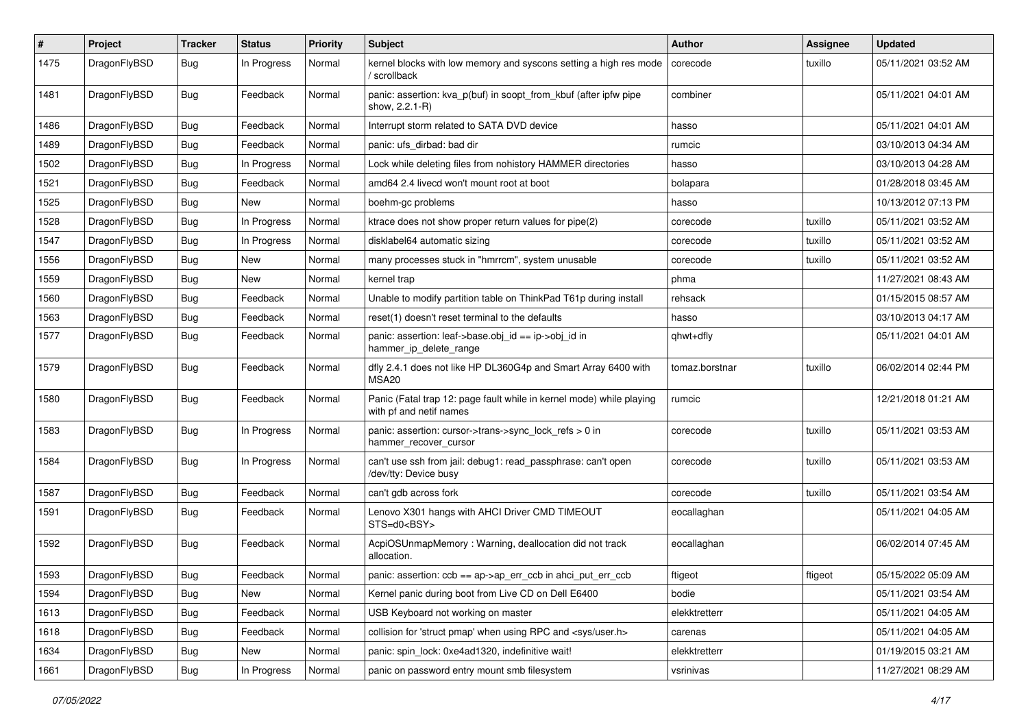| $\#$ | Project      | <b>Tracker</b> | <b>Status</b> | <b>Priority</b> | Subject                                                                                         | Author         | <b>Assignee</b> | <b>Updated</b>      |
|------|--------------|----------------|---------------|-----------------|-------------------------------------------------------------------------------------------------|----------------|-----------------|---------------------|
| 1475 | DragonFlyBSD | <b>Bug</b>     | In Progress   | Normal          | kernel blocks with low memory and syscons setting a high res mode<br>' scrollback               | corecode       | tuxillo         | 05/11/2021 03:52 AM |
| 1481 | DragonFlyBSD | <b>Bug</b>     | Feedback      | Normal          | panic: assertion: kva_p(buf) in soopt_from_kbuf (after ipfw pipe<br>show, 2.2.1-R)              | combiner       |                 | 05/11/2021 04:01 AM |
| 1486 | DragonFlyBSD | <b>Bug</b>     | Feedback      | Normal          | Interrupt storm related to SATA DVD device                                                      | hasso          |                 | 05/11/2021 04:01 AM |
| 1489 | DragonFlyBSD | <b>Bug</b>     | Feedback      | Normal          | panic: ufs dirbad: bad dir                                                                      | rumcic         |                 | 03/10/2013 04:34 AM |
| 1502 | DragonFlyBSD | <b>Bug</b>     | In Progress   | Normal          | Lock while deleting files from nohistory HAMMER directories                                     | hasso          |                 | 03/10/2013 04:28 AM |
| 1521 | DragonFlyBSD | <b>Bug</b>     | Feedback      | Normal          | amd64 2.4 livecd won't mount root at boot                                                       | bolapara       |                 | 01/28/2018 03:45 AM |
| 1525 | DragonFlyBSD | <b>Bug</b>     | <b>New</b>    | Normal          | boehm-gc problems                                                                               | hasso          |                 | 10/13/2012 07:13 PM |
| 1528 | DragonFlyBSD | Bug            | In Progress   | Normal          | ktrace does not show proper return values for pipe(2)                                           | corecode       | tuxillo         | 05/11/2021 03:52 AM |
| 1547 | DragonFlyBSD | <b>Bug</b>     | In Progress   | Normal          | disklabel64 automatic sizing                                                                    | corecode       | tuxillo         | 05/11/2021 03:52 AM |
| 1556 | DragonFlyBSD | Bug            | <b>New</b>    | Normal          | many processes stuck in "hmrrcm", system unusable                                               | corecode       | tuxillo         | 05/11/2021 03:52 AM |
| 1559 | DragonFlyBSD | <b>Bug</b>     | New           | Normal          | kernel trap                                                                                     | phma           |                 | 11/27/2021 08:43 AM |
| 1560 | DragonFlyBSD | <b>Bug</b>     | Feedback      | Normal          | Unable to modify partition table on ThinkPad T61p during install                                | rehsack        |                 | 01/15/2015 08:57 AM |
| 1563 | DragonFlyBSD | Bug            | Feedback      | Normal          | reset(1) doesn't reset terminal to the defaults                                                 | hasso          |                 | 03/10/2013 04:17 AM |
| 1577 | DragonFlyBSD | Bug            | Feedback      | Normal          | panic: assertion: leaf->base.obj_id == ip->obj_id in<br>hammer_ip_delete_range                  | qhwt+dfly      |                 | 05/11/2021 04:01 AM |
| 1579 | DragonFlyBSD | <b>Bug</b>     | Feedback      | Normal          | dfly 2.4.1 does not like HP DL360G4p and Smart Array 6400 with<br>MSA20                         | tomaz.borstnar | tuxillo         | 06/02/2014 02:44 PM |
| 1580 | DragonFlyBSD | Bug            | Feedback      | Normal          | Panic (Fatal trap 12: page fault while in kernel mode) while playing<br>with pf and netif names | rumcic         |                 | 12/21/2018 01:21 AM |
| 1583 | DragonFlyBSD | Bug            | In Progress   | Normal          | panic: assertion: cursor->trans->sync_lock_refs > 0 in<br>hammer_recover_cursor                 | corecode       | tuxillo         | 05/11/2021 03:53 AM |
| 1584 | DragonFlyBSD | Bug            | In Progress   | Normal          | can't use ssh from jail: debug1: read_passphrase: can't open<br>/dev/tty: Device busy           | corecode       | tuxillo         | 05/11/2021 03:53 AM |
| 1587 | DragonFlyBSD | <b>Bug</b>     | Feedback      | Normal          | can't gdb across fork                                                                           | corecode       | tuxillo         | 05/11/2021 03:54 AM |
| 1591 | DragonFlyBSD | <b>Bug</b>     | Feedback      | Normal          | Lenovo X301 hangs with AHCI Driver CMD TIMEOUT<br>STS=d0 <bsy></bsy>                            | eocallaghan    |                 | 05/11/2021 04:05 AM |
| 1592 | DragonFlyBSD | <b>Bug</b>     | Feedback      | Normal          | AcpiOSUnmapMemory: Warning, deallocation did not track<br>allocation.                           | eocallaghan    |                 | 06/02/2014 07:45 AM |
| 1593 | DragonFlyBSD | <b>Bug</b>     | Feedback      | Normal          | panic: assertion: $\cosh = a$ p->ap err $\cosh$ in ahci put err $\cosh$                         | ftigeot        | ftigeot         | 05/15/2022 05:09 AM |
| 1594 | DragonFlyBSD | Bug            | New           | Normal          | Kernel panic during boot from Live CD on Dell E6400                                             | bodie          |                 | 05/11/2021 03:54 AM |
| 1613 | DragonFlyBSD | Bug            | Feedback      | Normal          | USB Keyboard not working on master                                                              | elekktretterr  |                 | 05/11/2021 04:05 AM |
| 1618 | DragonFlyBSD | <b>Bug</b>     | Feedback      | Normal          | collision for 'struct pmap' when using RPC and <sys user.h=""></sys>                            | carenas        |                 | 05/11/2021 04:05 AM |
| 1634 | DragonFlyBSD | <b>Bug</b>     | New           | Normal          | panic: spin_lock: 0xe4ad1320, indefinitive wait!                                                | elekktretterr  |                 | 01/19/2015 03:21 AM |
| 1661 | DragonFlyBSD | <b>Bug</b>     | In Progress   | Normal          | panic on password entry mount smb filesystem                                                    | vsrinivas      |                 | 11/27/2021 08:29 AM |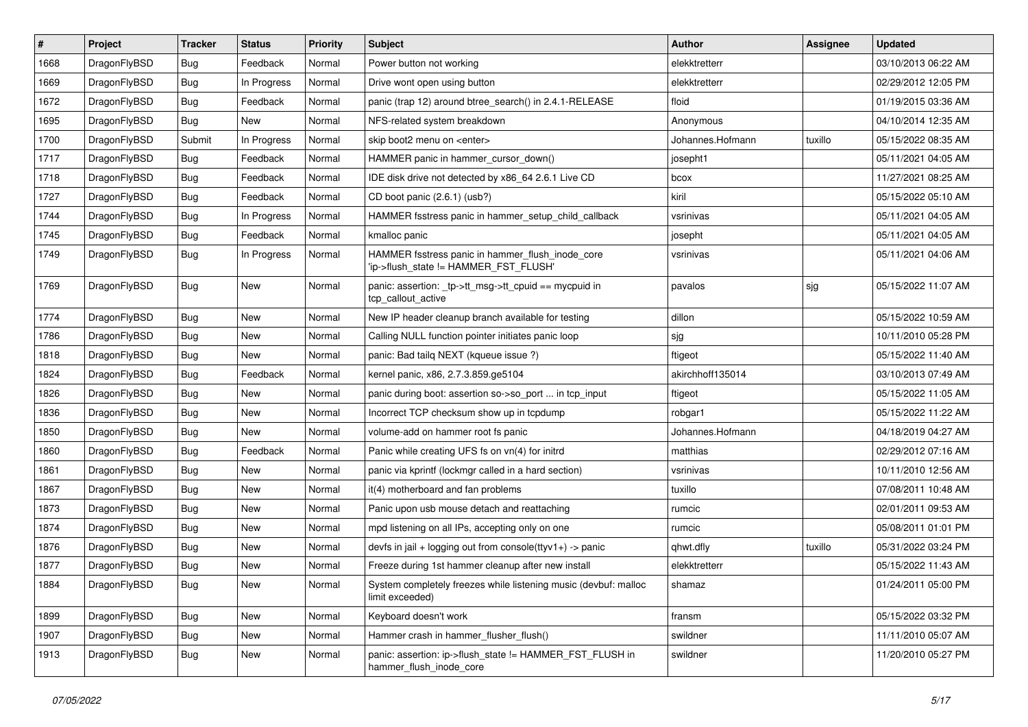| $\vert$ # | Project      | <b>Tracker</b> | <b>Status</b> | <b>Priority</b> | <b>Subject</b>                                                                            | Author           | <b>Assignee</b> | <b>Updated</b>      |
|-----------|--------------|----------------|---------------|-----------------|-------------------------------------------------------------------------------------------|------------------|-----------------|---------------------|
| 1668      | DragonFlyBSD | Bug            | Feedback      | Normal          | Power button not working                                                                  | elekktretterr    |                 | 03/10/2013 06:22 AM |
| 1669      | DragonFlyBSD | <b>Bug</b>     | In Progress   | Normal          | Drive wont open using button                                                              | elekktretterr    |                 | 02/29/2012 12:05 PM |
| 1672      | DragonFlyBSD | <b>Bug</b>     | Feedback      | Normal          | panic (trap 12) around btree_search() in 2.4.1-RELEASE                                    | floid            |                 | 01/19/2015 03:36 AM |
| 1695      | DragonFlyBSD | Bug            | <b>New</b>    | Normal          | NFS-related system breakdown                                                              | Anonymous        |                 | 04/10/2014 12:35 AM |
| 1700      | DragonFlyBSD | Submit         | In Progress   | Normal          | skip boot2 menu on <enter></enter>                                                        | Johannes.Hofmann | tuxillo         | 05/15/2022 08:35 AM |
| 1717      | DragonFlyBSD | Bug            | Feedback      | Normal          | HAMMER panic in hammer cursor down()                                                      | josepht1         |                 | 05/11/2021 04:05 AM |
| 1718      | DragonFlyBSD | Bug            | Feedback      | Normal          | IDE disk drive not detected by x86 64 2.6.1 Live CD                                       | bcox             |                 | 11/27/2021 08:25 AM |
| 1727      | DragonFlyBSD | Bug            | Feedback      | Normal          | CD boot panic (2.6.1) (usb?)                                                              | kiril            |                 | 05/15/2022 05:10 AM |
| 1744      | DragonFlyBSD | <b>Bug</b>     | In Progress   | Normal          | HAMMER fsstress panic in hammer_setup_child_callback                                      | vsrinivas        |                 | 05/11/2021 04:05 AM |
| 1745      | DragonFlyBSD | <b>Bug</b>     | Feedback      | Normal          | kmalloc panic                                                                             | josepht          |                 | 05/11/2021 04:05 AM |
| 1749      | DragonFlyBSD | Bug            | In Progress   | Normal          | HAMMER fsstress panic in hammer_flush_inode_core<br>'ip->flush_state != HAMMER_FST_FLUSH' | vsrinivas        |                 | 05/11/2021 04:06 AM |
| 1769      | DragonFlyBSD | <b>Bug</b>     | New           | Normal          | panic: assertion: _tp->tt_msg->tt_cpuid == mycpuid in<br>tcp_callout_active               | pavalos          | sjg             | 05/15/2022 11:07 AM |
| 1774      | DragonFlyBSD | Bug            | New           | Normal          | New IP header cleanup branch available for testing                                        | dillon           |                 | 05/15/2022 10:59 AM |
| 1786      | DragonFlyBSD | Bug            | <b>New</b>    | Normal          | Calling NULL function pointer initiates panic loop                                        | sjg              |                 | 10/11/2010 05:28 PM |
| 1818      | DragonFlyBSD | <b>Bug</b>     | <b>New</b>    | Normal          | panic: Bad tailg NEXT (kgueue issue ?)                                                    | ftigeot          |                 | 05/15/2022 11:40 AM |
| 1824      | DragonFlyBSD | <b>Bug</b>     | Feedback      | Normal          | kernel panic, x86, 2.7.3.859.ge5104                                                       | akirchhoff135014 |                 | 03/10/2013 07:49 AM |
| 1826      | DragonFlyBSD | <b>Bug</b>     | New           | Normal          | panic during boot: assertion so->so_port  in tcp_input                                    | ftigeot          |                 | 05/15/2022 11:05 AM |
| 1836      | DragonFlyBSD | Bug            | <b>New</b>    | Normal          | Incorrect TCP checksum show up in tcpdump                                                 | robgar1          |                 | 05/15/2022 11:22 AM |
| 1850      | DragonFlyBSD | Bug            | New           | Normal          | volume-add on hammer root fs panic                                                        | Johannes.Hofmann |                 | 04/18/2019 04:27 AM |
| 1860      | DragonFlyBSD | <b>Bug</b>     | Feedback      | Normal          | Panic while creating UFS fs on vn(4) for initrd                                           | matthias         |                 | 02/29/2012 07:16 AM |
| 1861      | DragonFlyBSD | <b>Bug</b>     | <b>New</b>    | Normal          | panic via kprintf (lockmgr called in a hard section)                                      | vsrinivas        |                 | 10/11/2010 12:56 AM |
| 1867      | DragonFlyBSD | <b>Bug</b>     | <b>New</b>    | Normal          | it(4) motherboard and fan problems                                                        | tuxillo          |                 | 07/08/2011 10:48 AM |
| 1873      | DragonFlyBSD | Bug            | New           | Normal          | Panic upon usb mouse detach and reattaching                                               | rumcic           |                 | 02/01/2011 09:53 AM |
| 1874      | DragonFlyBSD | <b>Bug</b>     | <b>New</b>    | Normal          | mpd listening on all IPs, accepting only on one                                           | rumcic           |                 | 05/08/2011 01:01 PM |
| 1876      | DragonFlyBSD | <b>Bug</b>     | New           | Normal          | devfs in jail + logging out from console(ttyv1+) -> panic                                 | qhwt.dfly        | tuxillo         | 05/31/2022 03:24 PM |
| 1877      | DragonFlyBSD | Bug            | <b>New</b>    | Normal          | Freeze during 1st hammer cleanup after new install                                        | elekktretterr    |                 | 05/15/2022 11:43 AM |
| 1884      | DragonFlyBSD | <b>Bug</b>     | New           | Normal          | System completely freezes while listening music (devbuf: malloc<br>limit exceeded)        | shamaz           |                 | 01/24/2011 05:00 PM |
| 1899      | DragonFlyBSD | <b>Bug</b>     | New           | Normal          | Keyboard doesn't work                                                                     | fransm           |                 | 05/15/2022 03:32 PM |
| 1907      | DragonFlyBSD | <b>Bug</b>     | New           | Normal          | Hammer crash in hammer flusher flush()                                                    | swildner         |                 | 11/11/2010 05:07 AM |
| 1913      | DragonFlyBSD | Bug            | New           | Normal          | panic: assertion: ip->flush_state != HAMMER_FST_FLUSH in<br>hammer flush inode core       | swildner         |                 | 11/20/2010 05:27 PM |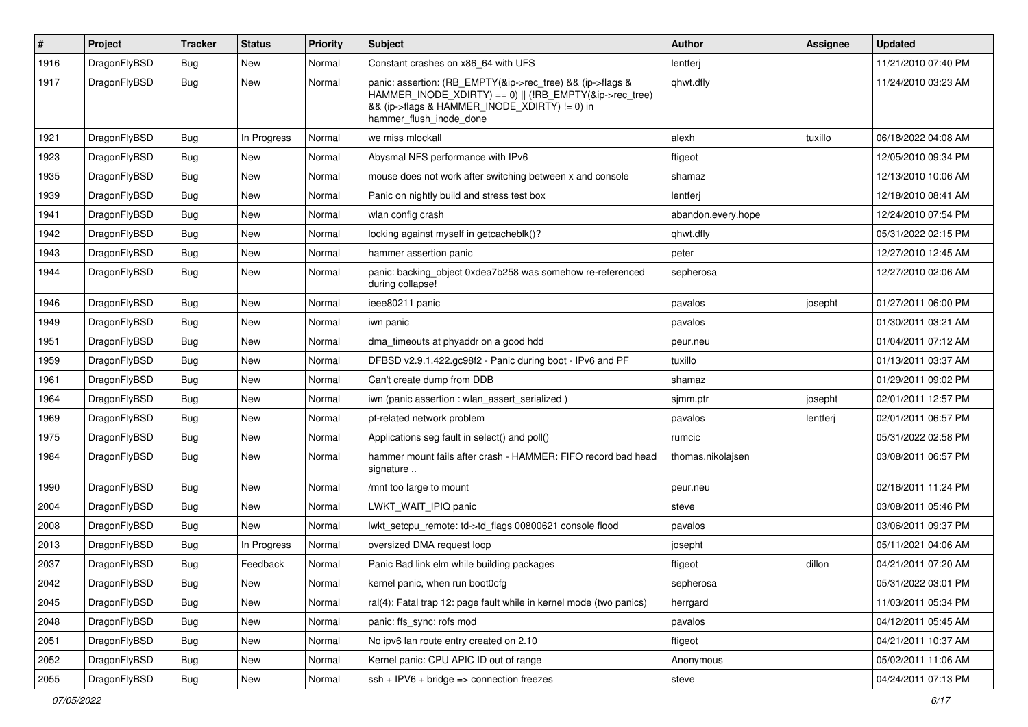| $\pmb{\#}$ | Project      | <b>Tracker</b> | <b>Status</b> | <b>Priority</b> | Subject                                                                                                                                                                                           | Author             | Assignee | <b>Updated</b>      |
|------------|--------------|----------------|---------------|-----------------|---------------------------------------------------------------------------------------------------------------------------------------------------------------------------------------------------|--------------------|----------|---------------------|
| 1916       | DragonFlyBSD | Bug            | New           | Normal          | Constant crashes on x86 64 with UFS                                                                                                                                                               | lentferj           |          | 11/21/2010 07:40 PM |
| 1917       | DragonFlyBSD | Bug            | New           | Normal          | panic: assertion: (RB_EMPTY(&ip->rec_tree) && (ip->flags &<br>HAMMER_INODE_XDIRTY) == 0)    (!RB_EMPTY(&ip->rec_tree)<br>&& (ip->flags & HAMMER_INODE_XDIRTY) != 0) in<br>hammer_flush_inode_done | qhwt.dfly          |          | 11/24/2010 03:23 AM |
| 1921       | DragonFlyBSD | <b>Bug</b>     | In Progress   | Normal          | we miss mlockall                                                                                                                                                                                  | alexh              | tuxillo  | 06/18/2022 04:08 AM |
| 1923       | DragonFlyBSD | Bug            | <b>New</b>    | Normal          | Abysmal NFS performance with IPv6                                                                                                                                                                 | ftigeot            |          | 12/05/2010 09:34 PM |
| 1935       | DragonFlyBSD | <b>Bug</b>     | <b>New</b>    | Normal          | mouse does not work after switching between x and console                                                                                                                                         | shamaz             |          | 12/13/2010 10:06 AM |
| 1939       | DragonFlyBSD | Bug            | <b>New</b>    | Normal          | Panic on nightly build and stress test box                                                                                                                                                        | lentferj           |          | 12/18/2010 08:41 AM |
| 1941       | DragonFlyBSD | Bug            | New           | Normal          | wlan config crash                                                                                                                                                                                 | abandon.every.hope |          | 12/24/2010 07:54 PM |
| 1942       | DragonFlyBSD | Bug            | <b>New</b>    | Normal          | locking against myself in getcacheblk()?                                                                                                                                                          | qhwt.dfly          |          | 05/31/2022 02:15 PM |
| 1943       | DragonFlyBSD | Bug            | New           | Normal          | hammer assertion panic                                                                                                                                                                            | peter              |          | 12/27/2010 12:45 AM |
| 1944       | DragonFlyBSD | Bug            | <b>New</b>    | Normal          | panic: backing_object 0xdea7b258 was somehow re-referenced<br>during collapse!                                                                                                                    | sepherosa          |          | 12/27/2010 02:06 AM |
| 1946       | DragonFlyBSD | Bug            | <b>New</b>    | Normal          | ieee80211 panic                                                                                                                                                                                   | pavalos            | josepht  | 01/27/2011 06:00 PM |
| 1949       | DragonFlyBSD | Bug            | New           | Normal          | iwn panic                                                                                                                                                                                         | pavalos            |          | 01/30/2011 03:21 AM |
| 1951       | DragonFlyBSD | Bug            | New           | Normal          | dma_timeouts at phyaddr on a good hdd                                                                                                                                                             | peur.neu           |          | 01/04/2011 07:12 AM |
| 1959       | DragonFlyBSD | Bug            | New           | Normal          | DFBSD v2.9.1.422.gc98f2 - Panic during boot - IPv6 and PF                                                                                                                                         | tuxillo            |          | 01/13/2011 03:37 AM |
| 1961       | DragonFlyBSD | Bug            | <b>New</b>    | Normal          | Can't create dump from DDB                                                                                                                                                                        | shamaz             |          | 01/29/2011 09:02 PM |
| 1964       | DragonFlyBSD | Bug            | New           | Normal          | iwn (panic assertion : wlan assert serialized)                                                                                                                                                    | sjmm.ptr           | josepht  | 02/01/2011 12:57 PM |
| 1969       | DragonFlyBSD | Bug            | <b>New</b>    | Normal          | pf-related network problem                                                                                                                                                                        | pavalos            | lentferj | 02/01/2011 06:57 PM |
| 1975       | DragonFlyBSD | Bug            | <b>New</b>    | Normal          | Applications seg fault in select() and poll()                                                                                                                                                     | rumcic             |          | 05/31/2022 02:58 PM |
| 1984       | DragonFlyBSD | Bug            | New           | Normal          | hammer mount fails after crash - HAMMER: FIFO record bad head<br>signature                                                                                                                        | thomas.nikolajsen  |          | 03/08/2011 06:57 PM |
| 1990       | DragonFlyBSD | Bug            | <b>New</b>    | Normal          | /mnt too large to mount                                                                                                                                                                           | peur.neu           |          | 02/16/2011 11:24 PM |
| 2004       | DragonFlyBSD | Bug            | New           | Normal          | LWKT WAIT IPIQ panic                                                                                                                                                                              | steve              |          | 03/08/2011 05:46 PM |
| 2008       | DragonFlyBSD | Bug            | New           | Normal          | lwkt_setcpu_remote: td->td_flags 00800621 console flood                                                                                                                                           | pavalos            |          | 03/06/2011 09:37 PM |
| 2013       | DragonFlyBSD | Bug            | In Progress   | Normal          | oversized DMA request loop                                                                                                                                                                        | josepht            |          | 05/11/2021 04:06 AM |
| 2037       | DragonFlyBSD | Bug            | Feedback      | Normal          | Panic Bad link elm while building packages                                                                                                                                                        | ftigeot            | dillon   | 04/21/2011 07:20 AM |
| 2042       | DragonFlyBSD | <b>Bug</b>     | New           | Normal          | kernel panic, when run boot0cfg                                                                                                                                                                   | sepherosa          |          | 05/31/2022 03:01 PM |
| 2045       | DragonFlyBSD | Bug            | New           | Normal          | ral(4): Fatal trap 12: page fault while in kernel mode (two panics)                                                                                                                               | herrgard           |          | 11/03/2011 05:34 PM |
| 2048       | DragonFlyBSD | <b>Bug</b>     | New           | Normal          | panic: ffs sync: rofs mod                                                                                                                                                                         | pavalos            |          | 04/12/2011 05:45 AM |
| 2051       | DragonFlyBSD | Bug            | New           | Normal          | No ipv6 lan route entry created on 2.10                                                                                                                                                           | ftigeot            |          | 04/21/2011 10:37 AM |
| 2052       | DragonFlyBSD | <b>Bug</b>     | New           | Normal          | Kernel panic: CPU APIC ID out of range                                                                                                                                                            | Anonymous          |          | 05/02/2011 11:06 AM |
| 2055       | DragonFlyBSD | Bug            | New           | Normal          | $ssh + IPV6 + bridge \Rightarrow$ connection freezes                                                                                                                                              | steve              |          | 04/24/2011 07:13 PM |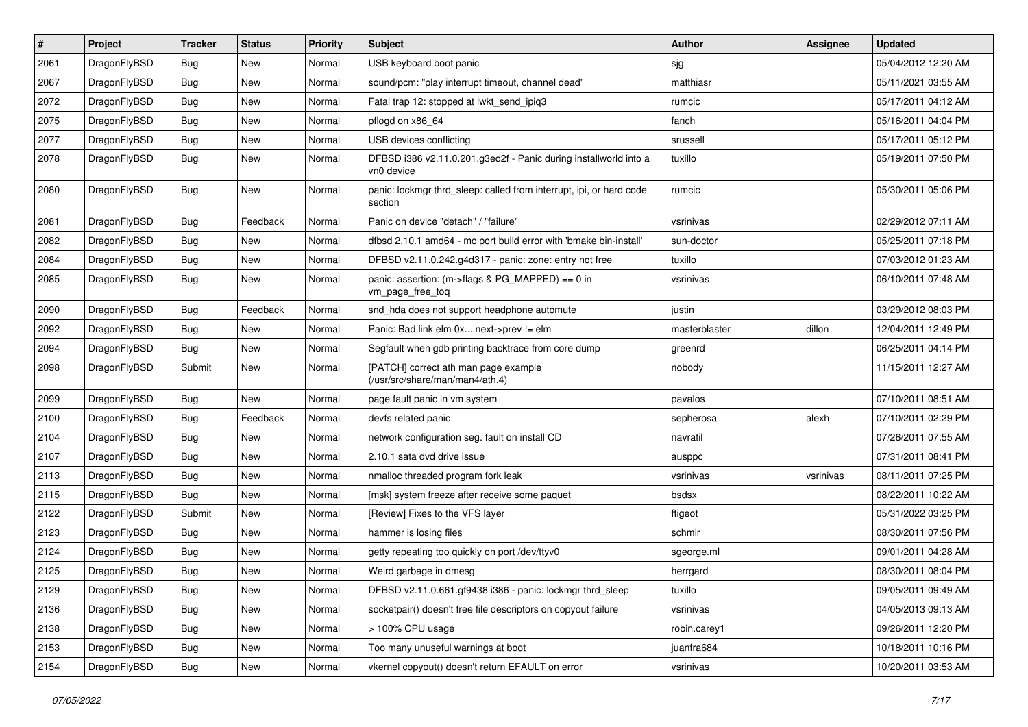| $\sharp$ | Project      | <b>Tracker</b> | <b>Status</b> | <b>Priority</b> | Subject                                                                        | Author        | <b>Assignee</b> | <b>Updated</b>      |
|----------|--------------|----------------|---------------|-----------------|--------------------------------------------------------------------------------|---------------|-----------------|---------------------|
| 2061     | DragonFlyBSD | <b>Bug</b>     | <b>New</b>    | Normal          | USB keyboard boot panic                                                        | sjg           |                 | 05/04/2012 12:20 AM |
| 2067     | DragonFlyBSD | <b>Bug</b>     | <b>New</b>    | Normal          | sound/pcm: "play interrupt timeout, channel dead"                              | matthiasr     |                 | 05/11/2021 03:55 AM |
| 2072     | DragonFlyBSD | <b>Bug</b>     | New           | Normal          | Fatal trap 12: stopped at lwkt send ipig3                                      | rumcic        |                 | 05/17/2011 04:12 AM |
| 2075     | DragonFlyBSD | <b>Bug</b>     | New           | Normal          | pflogd on x86 64                                                               | fanch         |                 | 05/16/2011 04:04 PM |
| 2077     | DragonFlyBSD | <b>Bug</b>     | New           | Normal          | USB devices conflicting                                                        | srussell      |                 | 05/17/2011 05:12 PM |
| 2078     | DragonFlyBSD | <b>Bug</b>     | <b>New</b>    | Normal          | DFBSD i386 v2.11.0.201.g3ed2f - Panic during installworld into a<br>vn0 device | tuxillo       |                 | 05/19/2011 07:50 PM |
| 2080     | DragonFlyBSD | <b>Bug</b>     | <b>New</b>    | Normal          | panic: lockmgr thrd_sleep: called from interrupt, ipi, or hard code<br>section | rumcic        |                 | 05/30/2011 05:06 PM |
| 2081     | DragonFlyBSD | <b>Bug</b>     | Feedback      | Normal          | Panic on device "detach" / "failure"                                           | vsrinivas     |                 | 02/29/2012 07:11 AM |
| 2082     | DragonFlyBSD | <b>Bug</b>     | <b>New</b>    | Normal          | dfbsd 2.10.1 amd64 - mc port build error with 'bmake bin-install'              | sun-doctor    |                 | 05/25/2011 07:18 PM |
| 2084     | DragonFlyBSD | <b>Bug</b>     | <b>New</b>    | Normal          | DFBSD v2.11.0.242.g4d317 - panic: zone: entry not free                         | tuxillo       |                 | 07/03/2012 01:23 AM |
| 2085     | DragonFlyBSD | <b>Bug</b>     | New           | Normal          | panic: assertion: (m->flags & PG_MAPPED) == 0 in<br>vm_page_free_toq           | vsrinivas     |                 | 06/10/2011 07:48 AM |
| 2090     | DragonFlyBSD | <b>Bug</b>     | Feedback      | Normal          | snd_hda does not support headphone automute                                    | justin        |                 | 03/29/2012 08:03 PM |
| 2092     | DragonFlyBSD | <b>Bug</b>     | New           | Normal          | Panic: Bad link elm 0x next->prev != elm                                       | masterblaster | dillon          | 12/04/2011 12:49 PM |
| 2094     | DragonFlyBSD | <b>Bug</b>     | New           | Normal          | Segfault when gdb printing backtrace from core dump                            | greenrd       |                 | 06/25/2011 04:14 PM |
| 2098     | DragonFlyBSD | Submit         | New           | Normal          | [PATCH] correct ath man page example<br>(/usr/src/share/man/man4/ath.4)        | nobody        |                 | 11/15/2011 12:27 AM |
| 2099     | DragonFlyBSD | <b>Bug</b>     | <b>New</b>    | Normal          | page fault panic in vm system                                                  | pavalos       |                 | 07/10/2011 08:51 AM |
| 2100     | DragonFlyBSD | <b>Bug</b>     | Feedback      | Normal          | devfs related panic                                                            | sepherosa     | alexh           | 07/10/2011 02:29 PM |
| 2104     | DragonFlyBSD | <b>Bug</b>     | New           | Normal          | network configuration seg. fault on install CD                                 | navratil      |                 | 07/26/2011 07:55 AM |
| 2107     | DragonFlyBSD | <b>Bug</b>     | New           | Normal          | 2.10.1 sata dvd drive issue                                                    | ausppc        |                 | 07/31/2011 08:41 PM |
| 2113     | DragonFlyBSD | <b>Bug</b>     | <b>New</b>    | Normal          | nmalloc threaded program fork leak                                             | vsrinivas     | vsrinivas       | 08/11/2011 07:25 PM |
| 2115     | DragonFlyBSD | <b>Bug</b>     | New           | Normal          | [msk] system freeze after receive some paquet                                  | bsdsx         |                 | 08/22/2011 10:22 AM |
| 2122     | DragonFlyBSD | Submit         | New           | Normal          | [Review] Fixes to the VFS layer                                                | ftigeot       |                 | 05/31/2022 03:25 PM |
| 2123     | DragonFlyBSD | <b>Bug</b>     | New           | Normal          | hammer is losing files                                                         | schmir        |                 | 08/30/2011 07:56 PM |
| 2124     | DragonFlyBSD | <b>Bug</b>     | New           | Normal          | getty repeating too quickly on port /dev/ttyv0                                 | sgeorge.ml    |                 | 09/01/2011 04:28 AM |
| 2125     | DragonFlyBSD | <b>Bug</b>     | New           | Normal          | Weird garbage in dmesg                                                         | herrgard      |                 | 08/30/2011 08:04 PM |
| 2129     | DragonFlyBSD | <b>Bug</b>     | New           | Normal          | DFBSD v2.11.0.661.gf9438 i386 - panic: lockmgr thrd_sleep                      | tuxillo       |                 | 09/05/2011 09:49 AM |
| 2136     | DragonFlyBSD | <b>Bug</b>     | <b>New</b>    | Normal          | socketpair() doesn't free file descriptors on copyout failure                  | vsrinivas     |                 | 04/05/2013 09:13 AM |
| 2138     | DragonFlyBSD | <b>Bug</b>     | New           | Normal          | > 100% CPU usage                                                               | robin.carey1  |                 | 09/26/2011 12:20 PM |
| 2153     | DragonFlyBSD | <b>Bug</b>     | New           | Normal          | Too many unuseful warnings at boot                                             | juanfra684    |                 | 10/18/2011 10:16 PM |
| 2154     | DragonFlyBSD | <b>Bug</b>     | New           | Normal          | vkernel copyout() doesn't return EFAULT on error                               | vsrinivas     |                 | 10/20/2011 03:53 AM |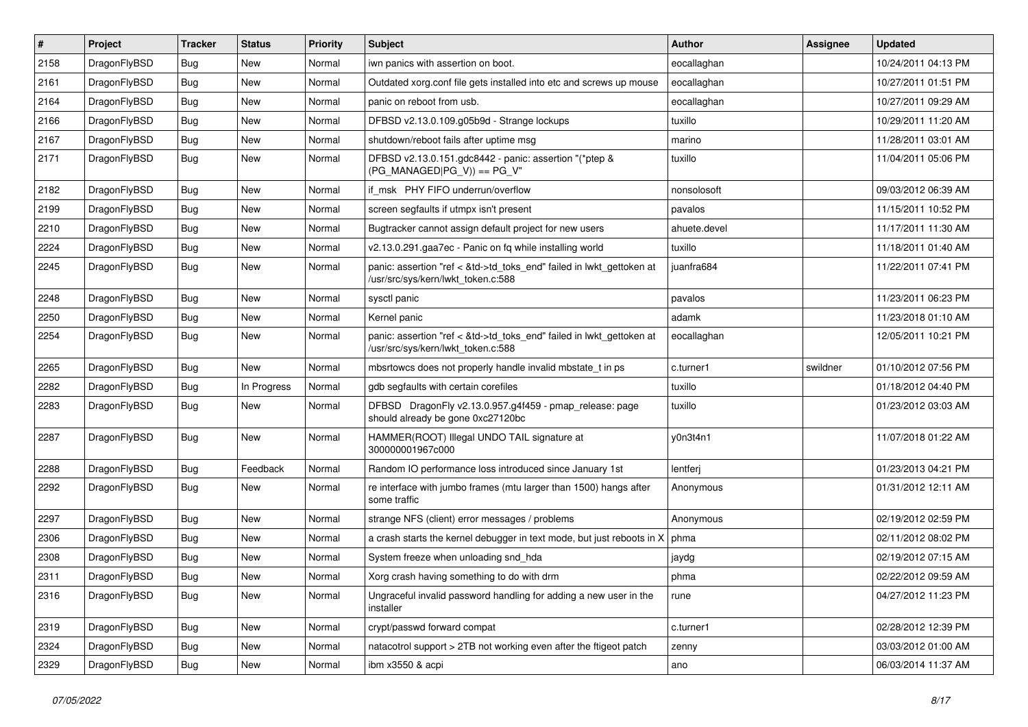| $\sharp$ | Project      | <b>Tracker</b> | <b>Status</b> | <b>Priority</b> | Subject                                                                                                    | <b>Author</b> | Assignee | <b>Updated</b>      |
|----------|--------------|----------------|---------------|-----------------|------------------------------------------------------------------------------------------------------------|---------------|----------|---------------------|
| 2158     | DragonFlyBSD | <b>Bug</b>     | <b>New</b>    | Normal          | iwn panics with assertion on boot.                                                                         | eocallaghan   |          | 10/24/2011 04:13 PM |
| 2161     | DragonFlyBSD | <b>Bug</b>     | <b>New</b>    | Normal          | Outdated xorg.conf file gets installed into etc and screws up mouse                                        | eocallaghan   |          | 10/27/2011 01:51 PM |
| 2164     | DragonFlyBSD | <b>Bug</b>     | New           | Normal          | panic on reboot from usb.                                                                                  | eocallaghan   |          | 10/27/2011 09:29 AM |
| 2166     | DragonFlyBSD | <b>Bug</b>     | New           | Normal          | DFBSD v2.13.0.109.g05b9d - Strange lockups                                                                 | tuxillo       |          | 10/29/2011 11:20 AM |
| 2167     | DragonFlyBSD | <b>Bug</b>     | New           | Normal          | shutdown/reboot fails after uptime msg                                                                     | marino        |          | 11/28/2011 03:01 AM |
| 2171     | DragonFlyBSD | <b>Bug</b>     | <b>New</b>    | Normal          | DFBSD v2.13.0.151.gdc8442 - panic: assertion "(*ptep &<br>$(PG_MANAGED PG_V)$ == PG_V"                     | tuxillo       |          | 11/04/2011 05:06 PM |
| 2182     | DragonFlyBSD | <b>Bug</b>     | New           | Normal          | if msk PHY FIFO underrun/overflow                                                                          | nonsolosoft   |          | 09/03/2012 06:39 AM |
| 2199     | DragonFlyBSD | <b>Bug</b>     | New           | Normal          | screen segfaults if utmpx isn't present                                                                    | pavalos       |          | 11/15/2011 10:52 PM |
| 2210     | DragonFlyBSD | <b>Bug</b>     | <b>New</b>    | Normal          | Bugtracker cannot assign default project for new users                                                     | ahuete.devel  |          | 11/17/2011 11:30 AM |
| 2224     | DragonFlyBSD | <b>Bug</b>     | New           | Normal          | v2.13.0.291.gaa7ec - Panic on fq while installing world                                                    | tuxillo       |          | 11/18/2011 01:40 AM |
| 2245     | DragonFlyBSD | Bug            | <b>New</b>    | Normal          | panic: assertion "ref < &td->td_toks_end" failed in lwkt_gettoken at<br>/usr/src/sys/kern/lwkt_token.c:588 | juanfra684    |          | 11/22/2011 07:41 PM |
| 2248     | DragonFlyBSD | <b>Bug</b>     | New           | Normal          | sysctl panic                                                                                               | pavalos       |          | 11/23/2011 06:23 PM |
| 2250     | DragonFlyBSD | <b>Bug</b>     | New           | Normal          | Kernel panic                                                                                               | adamk         |          | 11/23/2018 01:10 AM |
| 2254     | DragonFlyBSD | <b>Bug</b>     | <b>New</b>    | Normal          | panic: assertion "ref < &td->td_toks_end" failed in lwkt_gettoken at<br>/usr/src/sys/kern/lwkt_token.c:588 | eocallaghan   |          | 12/05/2011 10:21 PM |
| 2265     | DragonFlyBSD | <b>Bug</b>     | <b>New</b>    | Normal          | mbsrtowcs does not properly handle invalid mbstate_t in ps                                                 | c.turner1     | swildner | 01/10/2012 07:56 PM |
| 2282     | DragonFlyBSD | <b>Bug</b>     | In Progress   | Normal          | gdb segfaults with certain corefiles                                                                       | tuxillo       |          | 01/18/2012 04:40 PM |
| 2283     | DragonFlyBSD | <b>Bug</b>     | <b>New</b>    | Normal          | DFBSD DragonFly v2.13.0.957.g4f459 - pmap_release: page<br>should already be gone 0xc27120bc               | tuxillo       |          | 01/23/2012 03:03 AM |
| 2287     | DragonFlyBSD | <b>Bug</b>     | New           | Normal          | HAMMER(ROOT) Illegal UNDO TAIL signature at<br>300000001967c000                                            | y0n3t4n1      |          | 11/07/2018 01:22 AM |
| 2288     | DragonFlyBSD | <b>Bug</b>     | Feedback      | Normal          | Random IO performance loss introduced since January 1st                                                    | lentferj      |          | 01/23/2013 04:21 PM |
| 2292     | DragonFlyBSD | <b>Bug</b>     | New           | Normal          | re interface with jumbo frames (mtu larger than 1500) hangs after<br>some traffic                          | Anonymous     |          | 01/31/2012 12:11 AM |
| 2297     | DragonFlyBSD | <b>Bug</b>     | <b>New</b>    | Normal          | strange NFS (client) error messages / problems                                                             | Anonymous     |          | 02/19/2012 02:59 PM |
| 2306     | DragonFlyBSD | <b>Bug</b>     | New           | Normal          | a crash starts the kernel debugger in text mode, but just reboots in X                                     | phma          |          | 02/11/2012 08:02 PM |
| 2308     | DragonFlyBSD | <b>Bug</b>     | New           | Normal          | System freeze when unloading snd_hda                                                                       | jaydg         |          | 02/19/2012 07:15 AM |
| 2311     | DragonFlyBSD | Bug            | <b>New</b>    | Normal          | Xorg crash having something to do with drm                                                                 | phma          |          | 02/22/2012 09:59 AM |
| 2316     | DragonFlyBSD | <b>Bug</b>     | New           | Normal          | Ungraceful invalid password handling for adding a new user in the<br>installer                             | rune          |          | 04/27/2012 11:23 PM |
| 2319     | DragonFlyBSD | <b>Bug</b>     | <b>New</b>    | Normal          | crypt/passwd forward compat                                                                                | c.turner1     |          | 02/28/2012 12:39 PM |
| 2324     | DragonFlyBSD | <b>Bug</b>     | New           | Normal          | natacotrol support > 2TB not working even after the ftigeot patch                                          | zenny         |          | 03/03/2012 01:00 AM |
| 2329     | DragonFlyBSD | <b>Bug</b>     | New           | Normal          | ibm x3550 & acpi                                                                                           | ano           |          | 06/03/2014 11:37 AM |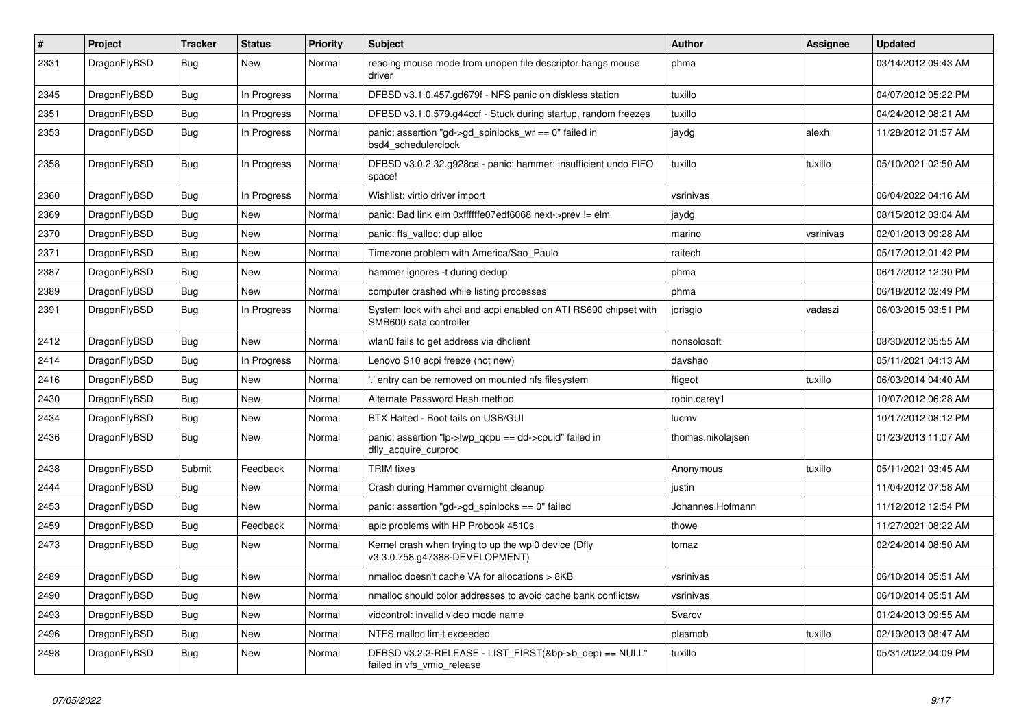| $\#$ | Project      | <b>Tracker</b> | <b>Status</b> | <b>Priority</b> | Subject                                                                                    | Author            | Assignee  | <b>Updated</b>      |
|------|--------------|----------------|---------------|-----------------|--------------------------------------------------------------------------------------------|-------------------|-----------|---------------------|
| 2331 | DragonFlyBSD | <b>Bug</b>     | New           | Normal          | reading mouse mode from unopen file descriptor hangs mouse<br>driver                       | phma              |           | 03/14/2012 09:43 AM |
| 2345 | DragonFlyBSD | <b>Bug</b>     | In Progress   | Normal          | DFBSD v3.1.0.457.gd679f - NFS panic on diskless station                                    | tuxillo           |           | 04/07/2012 05:22 PM |
| 2351 | DragonFlyBSD | <b>Bug</b>     | In Progress   | Normal          | DFBSD v3.1.0.579.g44ccf - Stuck during startup, random freezes                             | tuxillo           |           | 04/24/2012 08:21 AM |
| 2353 | DragonFlyBSD | <b>Bug</b>     | In Progress   | Normal          | panic: assertion "gd->gd_spinlocks_wr == 0" failed in<br>bsd4_schedulerclock               | jaydg             | alexh     | 11/28/2012 01:57 AM |
| 2358 | DragonFlyBSD | Bug            | In Progress   | Normal          | DFBSD v3.0.2.32.g928ca - panic: hammer: insufficient undo FIFO<br>space!                   | tuxillo           | tuxillo   | 05/10/2021 02:50 AM |
| 2360 | DragonFlyBSD | Bug            | In Progress   | Normal          | Wishlist: virtio driver import                                                             | vsrinivas         |           | 06/04/2022 04:16 AM |
| 2369 | DragonFlyBSD | Bug            | New           | Normal          | panic: Bad link elm 0xffffffe07edf6068 next->prev != elm                                   | jaydg             |           | 08/15/2012 03:04 AM |
| 2370 | DragonFlyBSD | <b>Bug</b>     | New           | Normal          | panic: ffs valloc: dup alloc                                                               | marino            | vsrinivas | 02/01/2013 09:28 AM |
| 2371 | DragonFlyBSD | Bug            | <b>New</b>    | Normal          | Timezone problem with America/Sao_Paulo                                                    | raitech           |           | 05/17/2012 01:42 PM |
| 2387 | DragonFlyBSD | Bug            | New           | Normal          | hammer ignores -t during dedup                                                             | phma              |           | 06/17/2012 12:30 PM |
| 2389 | DragonFlyBSD | Bug            | New           | Normal          | computer crashed while listing processes                                                   | phma              |           | 06/18/2012 02:49 PM |
| 2391 | DragonFlyBSD | Bug            | In Progress   | Normal          | System lock with ahci and acpi enabled on ATI RS690 chipset with<br>SMB600 sata controller | jorisgio          | vadaszi   | 06/03/2015 03:51 PM |
| 2412 | DragonFlyBSD | Bug            | New           | Normal          | wlan0 fails to get address via dhclient                                                    | nonsolosoft       |           | 08/30/2012 05:55 AM |
| 2414 | DragonFlyBSD | Bug            | In Progress   | Normal          | Lenovo S10 acpi freeze (not new)                                                           | davshao           |           | 05/11/2021 04:13 AM |
| 2416 | DragonFlyBSD | Bug            | New           | Normal          | ".' entry can be removed on mounted nfs filesystem                                         | ftigeot           | tuxillo   | 06/03/2014 04:40 AM |
| 2430 | DragonFlyBSD | Bug            | New           | Normal          | Alternate Password Hash method                                                             | robin.carey1      |           | 10/07/2012 06:28 AM |
| 2434 | DragonFlyBSD | <b>Bug</b>     | New           | Normal          | BTX Halted - Boot fails on USB/GUI                                                         | lucmv             |           | 10/17/2012 08:12 PM |
| 2436 | DragonFlyBSD | Bug            | New           | Normal          | panic: assertion "lp->lwp_qcpu == dd->cpuid" failed in<br>dfly_acquire_curproc             | thomas.nikolajsen |           | 01/23/2013 11:07 AM |
| 2438 | DragonFlyBSD | Submit         | Feedback      | Normal          | <b>TRIM</b> fixes                                                                          | Anonymous         | tuxillo   | 05/11/2021 03:45 AM |
| 2444 | DragonFlyBSD | Bug            | <b>New</b>    | Normal          | Crash during Hammer overnight cleanup                                                      | justin            |           | 11/04/2012 07:58 AM |
| 2453 | DragonFlyBSD | Bug            | New           | Normal          | panic: assertion "gd->gd_spinlocks == $0$ " failed                                         | Johannes.Hofmann  |           | 11/12/2012 12:54 PM |
| 2459 | DragonFlyBSD | <b>Bug</b>     | Feedback      | Normal          | apic problems with HP Probook 4510s                                                        | thowe             |           | 11/27/2021 08:22 AM |
| 2473 | DragonFlyBSD | <b>Bug</b>     | <b>New</b>    | Normal          | Kernel crash when trying to up the wpi0 device (Dfly<br>v3.3.0.758.g47388-DEVELOPMENT)     | tomaz             |           | 02/24/2014 08:50 AM |
| 2489 | DragonFlyBSD | Bug            | <b>New</b>    | Normal          | nmalloc doesn't cache VA for allocations > 8KB                                             | vsrinivas         |           | 06/10/2014 05:51 AM |
| 2490 | DragonFlyBSD | <b>Bug</b>     | New           | Normal          | nmalloc should color addresses to avoid cache bank conflictsw                              | vsrinivas         |           | 06/10/2014 05:51 AM |
| 2493 | DragonFlyBSD | <b>Bug</b>     | <b>New</b>    | Normal          | vidcontrol: invalid video mode name                                                        | Svarov            |           | 01/24/2013 09:55 AM |
| 2496 | DragonFlyBSD | <b>Bug</b>     | <b>New</b>    | Normal          | NTFS malloc limit exceeded                                                                 | plasmob           | tuxillo   | 02/19/2013 08:47 AM |
| 2498 | DragonFlyBSD | <b>Bug</b>     | New           | Normal          | DFBSD v3.2.2-RELEASE - LIST_FIRST(&bp->b_dep) == NULL"<br>failed in vfs_vmio_release       | tuxillo           |           | 05/31/2022 04:09 PM |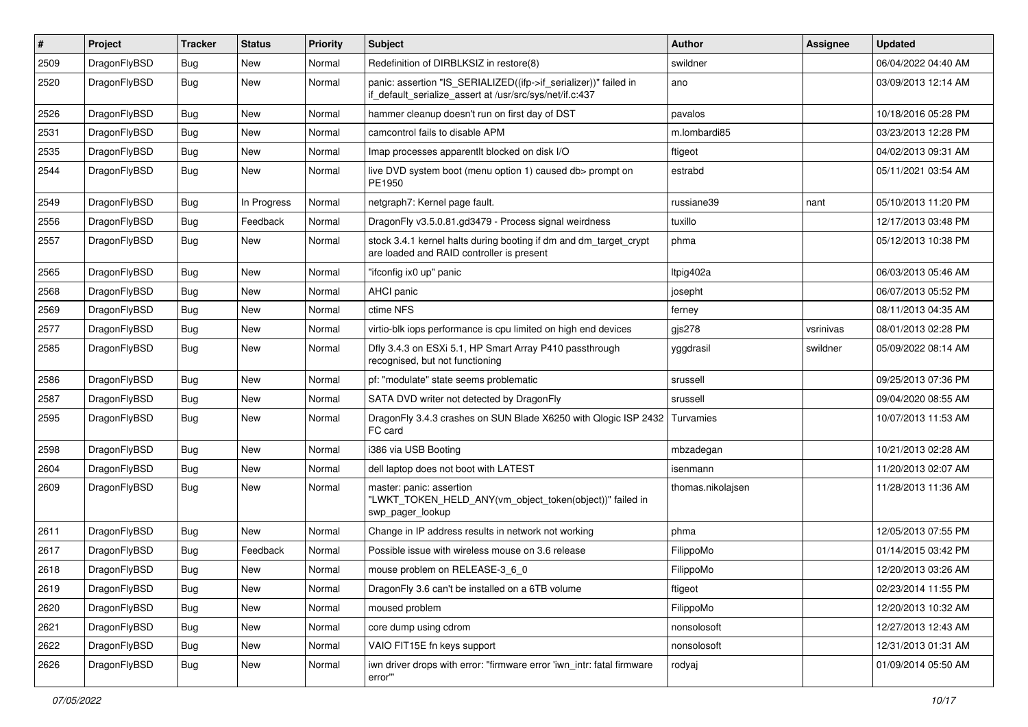| $\vert$ # | Project      | <b>Tracker</b> | <b>Status</b> | <b>Priority</b> | <b>Subject</b>                                                                                                               | Author            | Assignee  | <b>Updated</b>      |
|-----------|--------------|----------------|---------------|-----------------|------------------------------------------------------------------------------------------------------------------------------|-------------------|-----------|---------------------|
| 2509      | DragonFlyBSD | Bug            | New           | Normal          | Redefinition of DIRBLKSIZ in restore(8)                                                                                      | swildner          |           | 06/04/2022 04:40 AM |
| 2520      | DragonFlyBSD | Bug            | New           | Normal          | panic: assertion "IS_SERIALIZED((ifp->if_serializer))" failed in<br>if_default_serialize_assert at /usr/src/sys/net/if.c:437 | ano               |           | 03/09/2013 12:14 AM |
| 2526      | DragonFlyBSD | Bug            | <b>New</b>    | Normal          | hammer cleanup doesn't run on first day of DST                                                                               | pavalos           |           | 10/18/2016 05:28 PM |
| 2531      | DragonFlyBSD | <b>Bug</b>     | <b>New</b>    | Normal          | camcontrol fails to disable APM                                                                                              | m.lombardi85      |           | 03/23/2013 12:28 PM |
| 2535      | DragonFlyBSD | <b>Bug</b>     | New           | Normal          | Imap processes apparentlt blocked on disk I/O                                                                                | ftigeot           |           | 04/02/2013 09:31 AM |
| 2544      | DragonFlyBSD | Bug            | New           | Normal          | live DVD system boot (menu option 1) caused db> prompt on<br>PE1950                                                          | estrabd           |           | 05/11/2021 03:54 AM |
| 2549      | DragonFlyBSD | Bug            | In Progress   | Normal          | netgraph7: Kernel page fault.                                                                                                | russiane39        | nant      | 05/10/2013 11:20 PM |
| 2556      | DragonFlyBSD | <b>Bug</b>     | Feedback      | Normal          | DragonFly v3.5.0.81.gd3479 - Process signal weirdness                                                                        | tuxillo           |           | 12/17/2013 03:48 PM |
| 2557      | DragonFlyBSD | Bug            | <b>New</b>    | Normal          | stock 3.4.1 kernel halts during booting if dm and dm_target_crypt<br>are loaded and RAID controller is present               | phma              |           | 05/12/2013 10:38 PM |
| 2565      | DragonFlyBSD | Bug            | <b>New</b>    | Normal          | "ifconfig ix0 up" panic                                                                                                      | Itpig402a         |           | 06/03/2013 05:46 AM |
| 2568      | DragonFlyBSD | <b>Bug</b>     | New           | Normal          | <b>AHCI</b> panic                                                                                                            | josepht           |           | 06/07/2013 05:52 PM |
| 2569      | DragonFlyBSD | Bug            | <b>New</b>    | Normal          | ctime NFS                                                                                                                    | ferney            |           | 08/11/2013 04:35 AM |
| 2577      | DragonFlyBSD | <b>Bug</b>     | New           | Normal          | virtio-blk iops performance is cpu limited on high end devices                                                               | gjs278            | vsrinivas | 08/01/2013 02:28 PM |
| 2585      | DragonFlyBSD | Bug            | New           | Normal          | Dfly 3.4.3 on ESXi 5.1, HP Smart Array P410 passthrough<br>recognised, but not functioning                                   | yggdrasil         | swildner  | 05/09/2022 08:14 AM |
| 2586      | DragonFlyBSD | Bug            | <b>New</b>    | Normal          | pf: "modulate" state seems problematic                                                                                       | srussell          |           | 09/25/2013 07:36 PM |
| 2587      | DragonFlyBSD | Bug            | New           | Normal          | SATA DVD writer not detected by DragonFly                                                                                    | srussell          |           | 09/04/2020 08:55 AM |
| 2595      | DragonFlyBSD | Bug            | <b>New</b>    | Normal          | DragonFly 3.4.3 crashes on SUN Blade X6250 with Qlogic ISP 2432<br>FC card                                                   | Turvamies         |           | 10/07/2013 11:53 AM |
| 2598      | DragonFlyBSD | Bug            | <b>New</b>    | Normal          | i386 via USB Booting                                                                                                         | mbzadegan         |           | 10/21/2013 02:28 AM |
| 2604      | DragonFlyBSD | <b>Bug</b>     | New           | Normal          | dell laptop does not boot with LATEST                                                                                        | isenmann          |           | 11/20/2013 02:07 AM |
| 2609      | DragonFlyBSD | Bug            | New           | Normal          | master: panic: assertion<br>"LWKT_TOKEN_HELD_ANY(vm_object_token(object))" failed in<br>swp_pager_lookup                     | thomas.nikolajsen |           | 11/28/2013 11:36 AM |
| 2611      | DragonFlyBSD | <b>Bug</b>     | <b>New</b>    | Normal          | Change in IP address results in network not working                                                                          | phma              |           | 12/05/2013 07:55 PM |
| 2617      | DragonFlyBSD | <b>Bug</b>     | Feedback      | Normal          | Possible issue with wireless mouse on 3.6 release                                                                            | FilippoMo         |           | 01/14/2015 03:42 PM |
| 2618      | DragonFlyBSD | <b>Bug</b>     | New           | Normal          | mouse problem on RELEASE-3 6 0                                                                                               | FilippoMo         |           | 12/20/2013 03:26 AM |
| 2619      | DragonFlyBSD | Bug            | New           | Normal          | DragonFly 3.6 can't be installed on a 6TB volume                                                                             | ftigeot           |           | 02/23/2014 11:55 PM |
| 2620      | DragonFlyBSD | <b>Bug</b>     | New           | Normal          | moused problem                                                                                                               | FilippoMo         |           | 12/20/2013 10:32 AM |
| 2621      | DragonFlyBSD | <b>Bug</b>     | New           | Normal          | core dump using cdrom                                                                                                        | nonsolosoft       |           | 12/27/2013 12:43 AM |
| 2622      | DragonFlyBSD | <b>Bug</b>     | New           | Normal          | VAIO FIT15E fn keys support                                                                                                  | nonsolosoft       |           | 12/31/2013 01:31 AM |
| 2626      | DragonFlyBSD | <b>Bug</b>     | New           | Normal          | iwn driver drops with error: "firmware error 'iwn_intr: fatal firmware<br>error""                                            | rodyaj            |           | 01/09/2014 05:50 AM |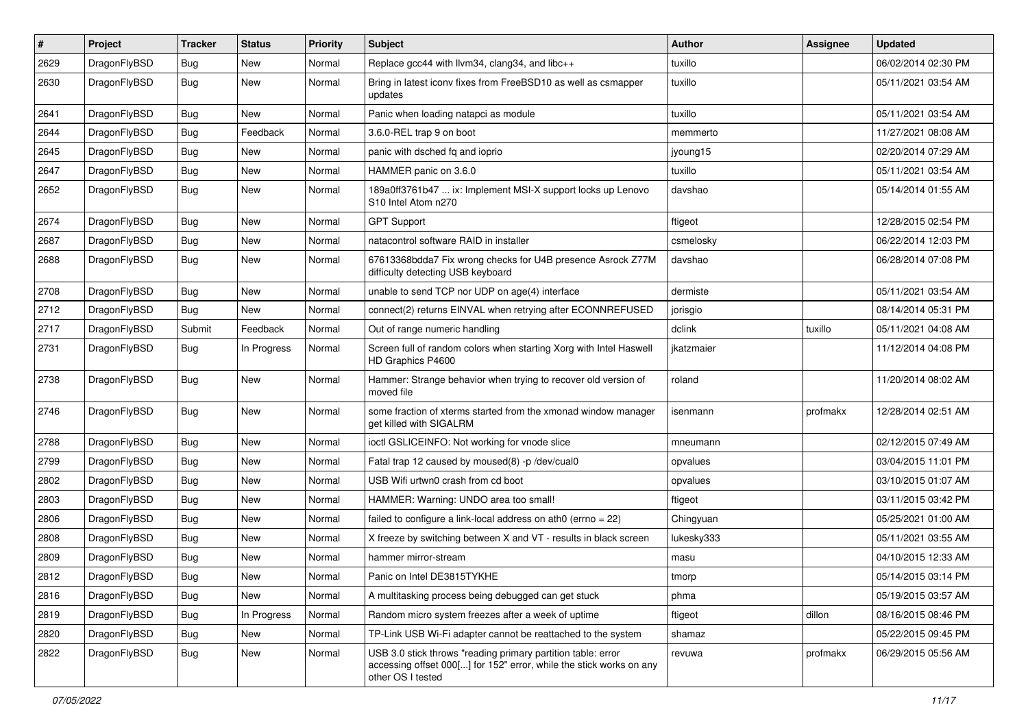| ∦    | Project      | <b>Tracker</b> | <b>Status</b> | <b>Priority</b> | Subject                                                                                                                                                  | Author     | Assignee | <b>Updated</b>      |
|------|--------------|----------------|---------------|-----------------|----------------------------------------------------------------------------------------------------------------------------------------------------------|------------|----------|---------------------|
| 2629 | DragonFlyBSD | Bug            | <b>New</b>    | Normal          | Replace gcc44 with llvm34, clang34, and libc++                                                                                                           | tuxillo    |          | 06/02/2014 02:30 PM |
| 2630 | DragonFlyBSD | Bug            | New           | Normal          | Bring in latest iconv fixes from FreeBSD10 as well as csmapper<br>updates                                                                                | tuxillo    |          | 05/11/2021 03:54 AM |
| 2641 | DragonFlyBSD | Bug            | <b>New</b>    | Normal          | Panic when loading natapci as module                                                                                                                     | tuxillo    |          | 05/11/2021 03:54 AM |
| 2644 | DragonFlyBSD | Bug            | Feedback      | Normal          | 3.6.0-REL trap 9 on boot                                                                                                                                 | memmerto   |          | 11/27/2021 08:08 AM |
| 2645 | DragonFlyBSD | <b>Bug</b>     | New           | Normal          | panic with dsched fq and ioprio                                                                                                                          | jyoung15   |          | 02/20/2014 07:29 AM |
| 2647 | DragonFlyBSD | Bug            | <b>New</b>    | Normal          | HAMMER panic on 3.6.0                                                                                                                                    | tuxillo    |          | 05/11/2021 03:54 AM |
| 2652 | DragonFlyBSD | Bug            | New           | Normal          | 189a0ff3761b47  ix: Implement MSI-X support locks up Lenovo<br>S10 Intel Atom n270                                                                       | davshao    |          | 05/14/2014 01:55 AM |
| 2674 | DragonFlyBSD | <b>Bug</b>     | <b>New</b>    | Normal          | <b>GPT Support</b>                                                                                                                                       | ftigeot    |          | 12/28/2015 02:54 PM |
| 2687 | DragonFlyBSD | <b>Bug</b>     | <b>New</b>    | Normal          | natacontrol software RAID in installer                                                                                                                   | csmelosky  |          | 06/22/2014 12:03 PM |
| 2688 | DragonFlyBSD | <b>Bug</b>     | New           | Normal          | 67613368bdda7 Fix wrong checks for U4B presence Asrock Z77M<br>difficulty detecting USB keyboard                                                         | davshao    |          | 06/28/2014 07:08 PM |
| 2708 | DragonFlyBSD | Bug            | New           | Normal          | unable to send TCP nor UDP on age(4) interface                                                                                                           | dermiste   |          | 05/11/2021 03:54 AM |
| 2712 | DragonFlyBSD | Bug            | <b>New</b>    | Normal          | connect(2) returns EINVAL when retrying after ECONNREFUSED                                                                                               | jorisgio   |          | 08/14/2014 05:31 PM |
| 2717 | DragonFlyBSD | Submit         | Feedback      | Normal          | Out of range numeric handling                                                                                                                            | dclink     | tuxillo  | 05/11/2021 04:08 AM |
| 2731 | DragonFlyBSD | Bug            | In Progress   | Normal          | Screen full of random colors when starting Xorg with Intel Haswell<br>HD Graphics P4600                                                                  | jkatzmaier |          | 11/12/2014 04:08 PM |
| 2738 | DragonFlyBSD | <b>Bug</b>     | New           | Normal          | Hammer: Strange behavior when trying to recover old version of<br>moved file                                                                             | roland     |          | 11/20/2014 08:02 AM |
| 2746 | DragonFlyBSD | <b>Bug</b>     | New           | Normal          | some fraction of xterms started from the xmonad window manager<br>get killed with SIGALRM                                                                | isenmann   | profmakx | 12/28/2014 02:51 AM |
| 2788 | DragonFlyBSD | Bug            | <b>New</b>    | Normal          | ioctl GSLICEINFO: Not working for vnode slice                                                                                                            | mneumann   |          | 02/12/2015 07:49 AM |
| 2799 | DragonFlyBSD | Bug            | <b>New</b>    | Normal          | Fatal trap 12 caused by moused(8) -p /dev/cual0                                                                                                          | opvalues   |          | 03/04/2015 11:01 PM |
| 2802 | DragonFlyBSD | Bug            | <b>New</b>    | Normal          | USB Wifi urtwn0 crash from cd boot                                                                                                                       | opvalues   |          | 03/10/2015 01:07 AM |
| 2803 | DragonFlyBSD | Bug            | <b>New</b>    | Normal          | HAMMER: Warning: UNDO area too small!                                                                                                                    | ftigeot    |          | 03/11/2015 03:42 PM |
| 2806 | DragonFlyBSD | <b>Bug</b>     | <b>New</b>    | Normal          | failed to configure a link-local address on ath0 (errno = 22)                                                                                            | Chingyuan  |          | 05/25/2021 01:00 AM |
| 2808 | DragonFlyBSD | Bug            | <b>New</b>    | Normal          | X freeze by switching between X and VT - results in black screen                                                                                         | lukesky333 |          | 05/11/2021 03:55 AM |
| 2809 | DragonFlyBSD | <b>Bug</b>     | <b>New</b>    | Normal          | hammer mirror-stream                                                                                                                                     | masu       |          | 04/10/2015 12:33 AM |
| 2812 | DragonFlyBSD | Bug            | New           | Normal          | Panic on Intel DE3815TYKHE                                                                                                                               | tmorp      |          | 05/14/2015 03:14 PM |
| 2816 | DragonFlyBSD | Bug            | New           | Normal          | A multitasking process being debugged can get stuck                                                                                                      | phma       |          | 05/19/2015 03:57 AM |
| 2819 | DragonFlyBSD | <b>Bug</b>     | In Progress   | Normal          | Random micro system freezes after a week of uptime                                                                                                       | ftigeot    | dillon   | 08/16/2015 08:46 PM |
| 2820 | DragonFlyBSD | <b>Bug</b>     | New           | Normal          | TP-Link USB Wi-Fi adapter cannot be reattached to the system                                                                                             | shamaz     |          | 05/22/2015 09:45 PM |
| 2822 | DragonFlyBSD | <b>Bug</b>     | New           | Normal          | USB 3.0 stick throws "reading primary partition table: error<br>accessing offset 000[] for 152" error, while the stick works on any<br>other OS I tested | revuwa     | profmakx | 06/29/2015 05:56 AM |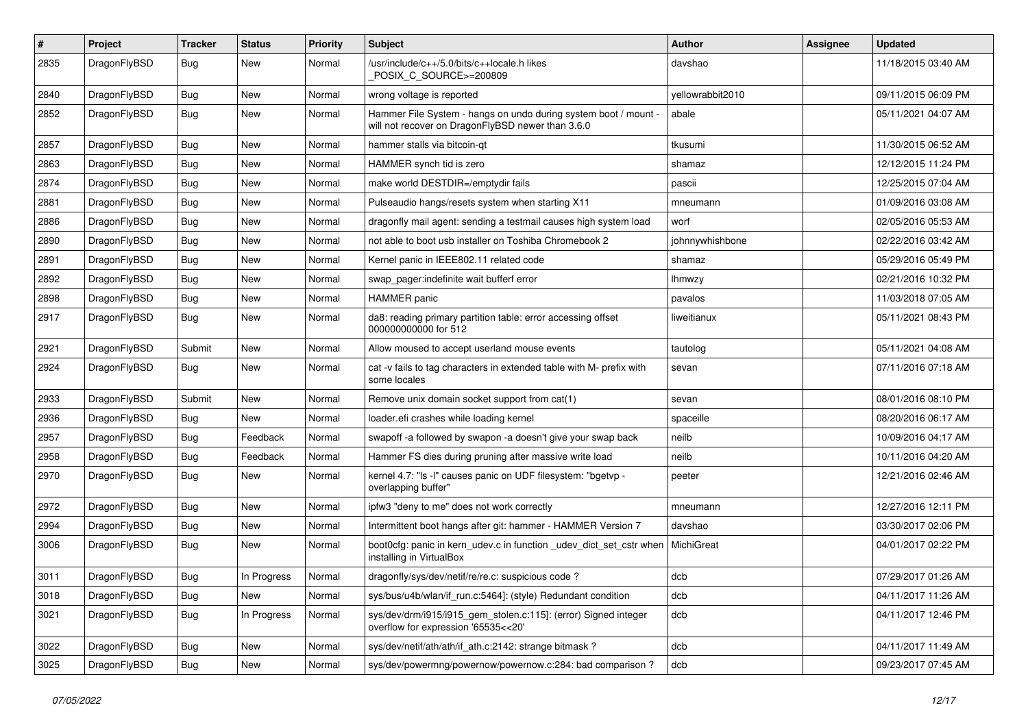| $\pmb{\#}$ | Project      | <b>Tracker</b> | <b>Status</b> | <b>Priority</b> | <b>Subject</b>                                                                                                       | Author           | <b>Assignee</b> | <b>Updated</b>      |
|------------|--------------|----------------|---------------|-----------------|----------------------------------------------------------------------------------------------------------------------|------------------|-----------------|---------------------|
| 2835       | DragonFlyBSD | Bug            | New           | Normal          | /usr/include/c++/5.0/bits/c++locale.h likes<br>POSIX_C_SOURCE>=200809                                                | davshao          |                 | 11/18/2015 03:40 AM |
| 2840       | DragonFlyBSD | <b>Bug</b>     | <b>New</b>    | Normal          | wrong voltage is reported                                                                                            | vellowrabbit2010 |                 | 09/11/2015 06:09 PM |
| 2852       | DragonFlyBSD | Bug            | New           | Normal          | Hammer File System - hangs on undo during system boot / mount -<br>will not recover on DragonFlyBSD newer than 3.6.0 | abale            |                 | 05/11/2021 04:07 AM |
| 2857       | DragonFlyBSD | <b>Bug</b>     | New           | Normal          | hammer stalls via bitcoin-qt                                                                                         | tkusumi          |                 | 11/30/2015 06:52 AM |
| 2863       | DragonFlyBSD | Bug            | New           | Normal          | HAMMER synch tid is zero                                                                                             | shamaz           |                 | 12/12/2015 11:24 PM |
| 2874       | DragonFlyBSD | Bug            | New           | Normal          | make world DESTDIR=/emptydir fails                                                                                   | pascii           |                 | 12/25/2015 07:04 AM |
| 2881       | DragonFlyBSD | Bug            | <b>New</b>    | Normal          | Pulseaudio hangs/resets system when starting X11                                                                     | mneumann         |                 | 01/09/2016 03:08 AM |
| 2886       | DragonFlyBSD | Bug            | <b>New</b>    | Normal          | dragonfly mail agent: sending a testmail causes high system load                                                     | worf             |                 | 02/05/2016 05:53 AM |
| 2890       | DragonFlyBSD | Bug            | <b>New</b>    | Normal          | not able to boot usb installer on Toshiba Chromebook 2                                                               | johnnywhishbone  |                 | 02/22/2016 03:42 AM |
| 2891       | DragonFlyBSD | Bug            | <b>New</b>    | Normal          | Kernel panic in IEEE802.11 related code                                                                              | shamaz           |                 | 05/29/2016 05:49 PM |
| 2892       | DragonFlyBSD | <b>Bug</b>     | New           | Normal          | swap pager:indefinite wait bufferf error                                                                             | lhmwzy           |                 | 02/21/2016 10:32 PM |
| 2898       | DragonFlyBSD | <b>Bug</b>     | New           | Normal          | HAMMER panic                                                                                                         | pavalos          |                 | 11/03/2018 07:05 AM |
| 2917       | DragonFlyBSD | Bug            | New           | Normal          | da8: reading primary partition table: error accessing offset<br>000000000000 for 512                                 | liweitianux      |                 | 05/11/2021 08:43 PM |
| 2921       | DragonFlyBSD | Submit         | <b>New</b>    | Normal          | Allow moused to accept userland mouse events                                                                         | tautolog         |                 | 05/11/2021 04:08 AM |
| 2924       | DragonFlyBSD | Bug            | New           | Normal          | cat -v fails to tag characters in extended table with M- prefix with<br>some locales                                 | sevan            |                 | 07/11/2016 07:18 AM |
| 2933       | DragonFlyBSD | Submit         | <b>New</b>    | Normal          | Remove unix domain socket support from cat(1)                                                                        | sevan            |                 | 08/01/2016 08:10 PM |
| 2936       | DragonFlyBSD | <b>Bug</b>     | New           | Normal          | loader.efi crashes while loading kernel                                                                              | spaceille        |                 | 08/20/2016 06:17 AM |
| 2957       | DragonFlyBSD | <b>Bug</b>     | Feedback      | Normal          | swapoff -a followed by swapon -a doesn't give your swap back                                                         | neilb            |                 | 10/09/2016 04:17 AM |
| 2958       | DragonFlyBSD | Bug            | Feedback      | Normal          | Hammer FS dies during pruning after massive write load                                                               | neilb            |                 | 10/11/2016 04:20 AM |
| 2970       | DragonFlyBSD | Bug            | <b>New</b>    | Normal          | kernel 4.7: "Is -I" causes panic on UDF filesystem: "bgetvp -<br>overlapping buffer"                                 | peeter           |                 | 12/21/2016 02:46 AM |
| 2972       | DragonFlyBSD | Bug            | New           | Normal          | ipfw3 "deny to me" does not work correctly                                                                           | mneumann         |                 | 12/27/2016 12:11 PM |
| 2994       | DragonFlyBSD | Bug            | New           | Normal          | Intermittent boot hangs after git: hammer - HAMMER Version 7                                                         | davshao          |                 | 03/30/2017 02:06 PM |
| 3006       | DragonFlyBSD | Bug            | New           | Normal          | boot0cfg: panic in kern_udev.c in function _udev_dict_set_cstr when<br>installing in VirtualBox                      | MichiGreat       |                 | 04/01/2017 02:22 PM |
| 3011       | DragonFlyBSD | Bug            | In Progress   | Normal          | dragonfly/sys/dev/netif/re/re.c: suspicious code?                                                                    | dcb              |                 | 07/29/2017 01:26 AM |
| 3018       | DragonFlyBSD | Bug            | New           | Normal          | sys/bus/u4b/wlan/if_run.c:5464]: (style) Redundant condition                                                         | dcb              |                 | 04/11/2017 11:26 AM |
| 3021       | DragonFlyBSD | Bug            | In Progress   | Normal          | sys/dev/drm/i915/i915_gem_stolen.c:115]: (error) Signed integer<br>overflow for expression '65535<<20'               | dcb              |                 | 04/11/2017 12:46 PM |
| 3022       | DragonFlyBSD | Bug            | New           | Normal          | sys/dev/netif/ath/ath/if_ath.c:2142: strange bitmask?                                                                | dcb              |                 | 04/11/2017 11:49 AM |
| 3025       | DragonFlyBSD | <b>Bug</b>     | New           | Normal          | sys/dev/powermng/powernow/powernow.c:284: bad comparison?                                                            | dcb              |                 | 09/23/2017 07:45 AM |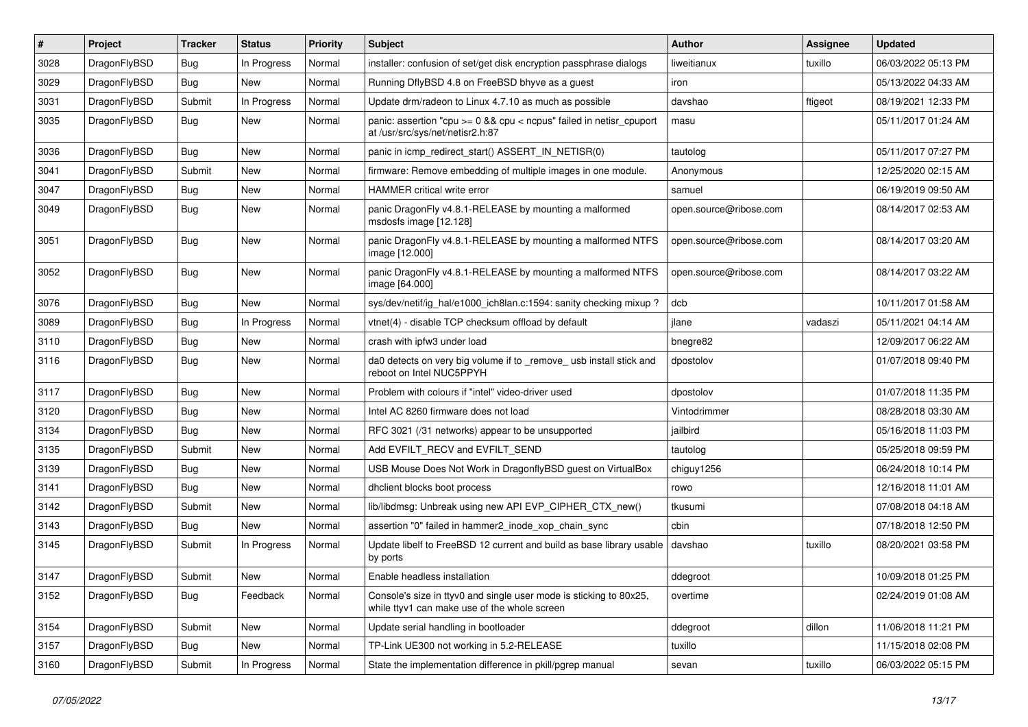| #    | Project      | <b>Tracker</b> | <b>Status</b> | <b>Priority</b> | <b>Subject</b>                                                                                                     | Author                 | <b>Assignee</b> | <b>Updated</b>      |
|------|--------------|----------------|---------------|-----------------|--------------------------------------------------------------------------------------------------------------------|------------------------|-----------------|---------------------|
| 3028 | DragonFlyBSD | <b>Bug</b>     | In Progress   | Normal          | installer: confusion of set/get disk encryption passphrase dialogs                                                 | liweitianux            | tuxillo         | 06/03/2022 05:13 PM |
| 3029 | DragonFlyBSD | Bug            | New           | Normal          | Running DflyBSD 4.8 on FreeBSD bhyve as a guest                                                                    | iron                   |                 | 05/13/2022 04:33 AM |
| 3031 | DragonFlyBSD | Submit         | In Progress   | Normal          | Update drm/radeon to Linux 4.7.10 as much as possible                                                              | davshao                | ftigeot         | 08/19/2021 12:33 PM |
| 3035 | DragonFlyBSD | Bug            | New           | Normal          | panic: assertion "cpu >= 0 && cpu < ncpus" failed in netisr_cpuport<br>at /usr/src/sys/net/netisr2.h:87            | masu                   |                 | 05/11/2017 01:24 AM |
| 3036 | DragonFlyBSD | <b>Bug</b>     | New           | Normal          | panic in icmp redirect start() ASSERT IN NETISR(0)                                                                 | tautolog               |                 | 05/11/2017 07:27 PM |
| 3041 | DragonFlyBSD | Submit         | <b>New</b>    | Normal          | firmware: Remove embedding of multiple images in one module.                                                       | Anonymous              |                 | 12/25/2020 02:15 AM |
| 3047 | DragonFlyBSD | <b>Bug</b>     | New           | Normal          | HAMMER critical write error                                                                                        | samuel                 |                 | 06/19/2019 09:50 AM |
| 3049 | DragonFlyBSD | Bug            | New           | Normal          | panic DragonFly v4.8.1-RELEASE by mounting a malformed<br>msdosfs image [12.128]                                   | open.source@ribose.com |                 | 08/14/2017 02:53 AM |
| 3051 | DragonFlyBSD | Bug            | New           | Normal          | panic DragonFly v4.8.1-RELEASE by mounting a malformed NTFS<br>image [12.000]                                      | open.source@ribose.com |                 | 08/14/2017 03:20 AM |
| 3052 | DragonFlyBSD | Bug            | <b>New</b>    | Normal          | panic DragonFly v4.8.1-RELEASE by mounting a malformed NTFS<br>image [64.000]                                      | open.source@ribose.com |                 | 08/14/2017 03:22 AM |
| 3076 | DragonFlyBSD | Bug            | New           | Normal          | sys/dev/netif/ig hal/e1000 ich8lan.c:1594: sanity checking mixup?                                                  | dcb                    |                 | 10/11/2017 01:58 AM |
| 3089 | DragonFlyBSD | Bug            | In Progress   | Normal          | vtnet(4) - disable TCP checksum offload by default                                                                 | ilane                  | vadaszi         | 05/11/2021 04:14 AM |
| 3110 | DragonFlyBSD | Bug            | New           | Normal          | crash with ipfw3 under load                                                                                        | bnegre82               |                 | 12/09/2017 06:22 AM |
| 3116 | DragonFlyBSD | Bug            | New           | Normal          | da0 detects on very big volume if to _remove_usb install stick and<br>reboot on Intel NUC5PPYH                     | dpostolov              |                 | 01/07/2018 09:40 PM |
| 3117 | DragonFlyBSD | Bug            | <b>New</b>    | Normal          | Problem with colours if "intel" video-driver used                                                                  | dpostolov              |                 | 01/07/2018 11:35 PM |
| 3120 | DragonFlyBSD | Bug            | <b>New</b>    | Normal          | Intel AC 8260 firmware does not load                                                                               | Vintodrimmer           |                 | 08/28/2018 03:30 AM |
| 3134 | DragonFlyBSD | <b>Bug</b>     | New           | Normal          | RFC 3021 (/31 networks) appear to be unsupported                                                                   | jailbird               |                 | 05/16/2018 11:03 PM |
| 3135 | DragonFlyBSD | Submit         | <b>New</b>    | Normal          | Add EVFILT_RECV and EVFILT_SEND                                                                                    | tautolog               |                 | 05/25/2018 09:59 PM |
| 3139 | DragonFlyBSD | Bug            | New           | Normal          | USB Mouse Does Not Work in DragonflyBSD guest on VirtualBox                                                        | chiguy1256             |                 | 06/24/2018 10:14 PM |
| 3141 | DragonFlyBSD | Bug            | New           | Normal          | dhclient blocks boot process                                                                                       | rowo                   |                 | 12/16/2018 11:01 AM |
| 3142 | DragonFlyBSD | Submit         | <b>New</b>    | Normal          | lib/libdmsg: Unbreak using new API EVP_CIPHER_CTX_new()                                                            | tkusumi                |                 | 07/08/2018 04:18 AM |
| 3143 | DragonFlyBSD | <b>Bug</b>     | New           | Normal          | assertion "0" failed in hammer2_inode_xop_chain_sync                                                               | cbin                   |                 | 07/18/2018 12:50 PM |
| 3145 | DragonFlyBSD | Submit         | In Progress   | Normal          | Update libelf to FreeBSD 12 current and build as base library usable<br>by ports                                   | davshao                | tuxillo         | 08/20/2021 03:58 PM |
| 3147 | DragonFlyBSD | Submit         | New           | Normal          | Enable headless installation                                                                                       | ddegroot               |                 | 10/09/2018 01:25 PM |
| 3152 | DragonFlyBSD | Bug            | Feedback      | Normal          | Console's size in ttyv0 and single user mode is sticking to 80x25,<br>while ttyv1 can make use of the whole screen | overtime               |                 | 02/24/2019 01:08 AM |
| 3154 | DragonFlyBSD | Submit         | New           | Normal          | Update serial handling in bootloader                                                                               | ddegroot               | dillon          | 11/06/2018 11:21 PM |
| 3157 | DragonFlyBSD | Bug            | New           | Normal          | TP-Link UE300 not working in 5.2-RELEASE                                                                           | tuxillo                |                 | 11/15/2018 02:08 PM |
| 3160 | DragonFlyBSD | Submit         | In Progress   | Normal          | State the implementation difference in pkill/pgrep manual                                                          | sevan                  | tuxillo         | 06/03/2022 05:15 PM |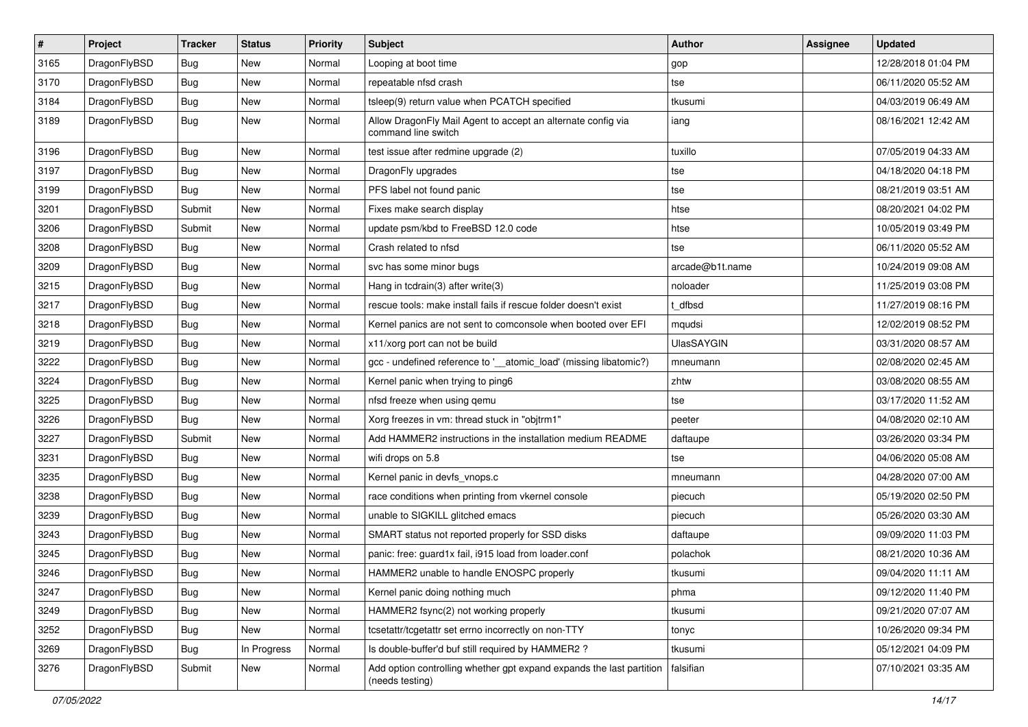| $\sharp$ | Project      | <b>Tracker</b> | <b>Status</b> | <b>Priority</b> | Subject                                                                                 | Author            | <b>Assignee</b> | <b>Updated</b>      |
|----------|--------------|----------------|---------------|-----------------|-----------------------------------------------------------------------------------------|-------------------|-----------------|---------------------|
| 3165     | DragonFlyBSD | <b>Bug</b>     | New           | Normal          | Looping at boot time                                                                    | gop               |                 | 12/28/2018 01:04 PM |
| 3170     | DragonFlyBSD | <b>Bug</b>     | New           | Normal          | repeatable nfsd crash                                                                   | tse               |                 | 06/11/2020 05:52 AM |
| 3184     | DragonFlyBSD | <b>Bug</b>     | <b>New</b>    | Normal          | tsleep(9) return value when PCATCH specified                                            | tkusumi           |                 | 04/03/2019 06:49 AM |
| 3189     | DragonFlyBSD | Bug            | <b>New</b>    | Normal          | Allow DragonFly Mail Agent to accept an alternate config via<br>command line switch     | iang              |                 | 08/16/2021 12:42 AM |
| 3196     | DragonFlyBSD | <b>Bug</b>     | New           | Normal          | test issue after redmine upgrade (2)                                                    | tuxillo           |                 | 07/05/2019 04:33 AM |
| 3197     | DragonFlyBSD | <b>Bug</b>     | New           | Normal          | DragonFly upgrades                                                                      | tse               |                 | 04/18/2020 04:18 PM |
| 3199     | DragonFlyBSD | <b>Bug</b>     | <b>New</b>    | Normal          | PFS label not found panic                                                               | tse               |                 | 08/21/2019 03:51 AM |
| 3201     | DragonFlyBSD | Submit         | New           | Normal          | Fixes make search display                                                               | htse              |                 | 08/20/2021 04:02 PM |
| 3206     | DragonFlyBSD | Submit         | <b>New</b>    | Normal          | update psm/kbd to FreeBSD 12.0 code                                                     | htse              |                 | 10/05/2019 03:49 PM |
| 3208     | DragonFlyBSD | Bug            | <b>New</b>    | Normal          | Crash related to nfsd                                                                   | tse               |                 | 06/11/2020 05:52 AM |
| 3209     | DragonFlyBSD | Bug            | New           | Normal          | svc has some minor bugs                                                                 | arcade@b1t.name   |                 | 10/24/2019 09:08 AM |
| 3215     | DragonFlyBSD | <b>Bug</b>     | <b>New</b>    | Normal          | Hang in tcdrain(3) after write(3)                                                       | noloader          |                 | 11/25/2019 03:08 PM |
| 3217     | DragonFlyBSD | Bug            | <b>New</b>    | Normal          | rescue tools: make install fails if rescue folder doesn't exist                         | t_dfbsd           |                 | 11/27/2019 08:16 PM |
| 3218     | DragonFlyBSD | Bug            | <b>New</b>    | Normal          | Kernel panics are not sent to comconsole when booted over EFI                           | mqudsi            |                 | 12/02/2019 08:52 PM |
| 3219     | DragonFlyBSD | <b>Bug</b>     | <b>New</b>    | Normal          | x11/xorg port can not be build                                                          | <b>UlasSAYGIN</b> |                 | 03/31/2020 08:57 AM |
| 3222     | DragonFlyBSD | Bug            | New           | Normal          | gcc - undefined reference to '__atomic_load' (missing libatomic?)                       | mneumann          |                 | 02/08/2020 02:45 AM |
| 3224     | DragonFlyBSD | Bug            | <b>New</b>    | Normal          | Kernel panic when trying to ping6                                                       | zhtw              |                 | 03/08/2020 08:55 AM |
| 3225     | DragonFlyBSD | Bug            | New           | Normal          | nfsd freeze when using qemu                                                             | tse               |                 | 03/17/2020 11:52 AM |
| 3226     | DragonFlyBSD | Bug            | <b>New</b>    | Normal          | Xorg freezes in vm: thread stuck in "objtrm1"                                           | peeter            |                 | 04/08/2020 02:10 AM |
| 3227     | DragonFlyBSD | Submit         | <b>New</b>    | Normal          | Add HAMMER2 instructions in the installation medium README                              | daftaupe          |                 | 03/26/2020 03:34 PM |
| 3231     | DragonFlyBSD | <b>Bug</b>     | <b>New</b>    | Normal          | wifi drops on 5.8                                                                       | tse               |                 | 04/06/2020 05:08 AM |
| 3235     | DragonFlyBSD | Bug            | <b>New</b>    | Normal          | Kernel panic in devfs_vnops.c                                                           | mneumann          |                 | 04/28/2020 07:00 AM |
| 3238     | DragonFlyBSD | <b>Bug</b>     | New           | Normal          | race conditions when printing from vkernel console                                      | piecuch           |                 | 05/19/2020 02:50 PM |
| 3239     | DragonFlyBSD | Bug            | New           | Normal          | unable to SIGKILL glitched emacs                                                        | piecuch           |                 | 05/26/2020 03:30 AM |
| 3243     | DragonFlyBSD | <b>Bug</b>     | New           | Normal          | SMART status not reported properly for SSD disks                                        | daftaupe          |                 | 09/09/2020 11:03 PM |
| 3245     | DragonFlyBSD | Bug            | <b>New</b>    | Normal          | panic: free: guard1x fail, i915 load from loader.conf                                   | polachok          |                 | 08/21/2020 10:36 AM |
| 3246     | DragonFlyBSD | <b>Bug</b>     | <b>New</b>    | Normal          | HAMMER2 unable to handle ENOSPC properly                                                | tkusumi           |                 | 09/04/2020 11:11 AM |
| 3247     | DragonFlyBSD | <b>Bug</b>     | New           | Normal          | Kernel panic doing nothing much                                                         | phma              |                 | 09/12/2020 11:40 PM |
| 3249     | DragonFlyBSD | <b>Bug</b>     | New           | Normal          | HAMMER2 fsync(2) not working properly                                                   | tkusumi           |                 | 09/21/2020 07:07 AM |
| 3252     | DragonFlyBSD | <b>Bug</b>     | New           | Normal          | tcsetattr/tcgetattr set errno incorrectly on non-TTY                                    | tonyc             |                 | 10/26/2020 09:34 PM |
| 3269     | DragonFlyBSD | <b>Bug</b>     | In Progress   | Normal          | Is double-buffer'd buf still required by HAMMER2 ?                                      | tkusumi           |                 | 05/12/2021 04:09 PM |
| 3276     | DragonFlyBSD | Submit         | New           | Normal          | Add option controlling whether gpt expand expands the last partition<br>(needs testing) | falsifian         |                 | 07/10/2021 03:35 AM |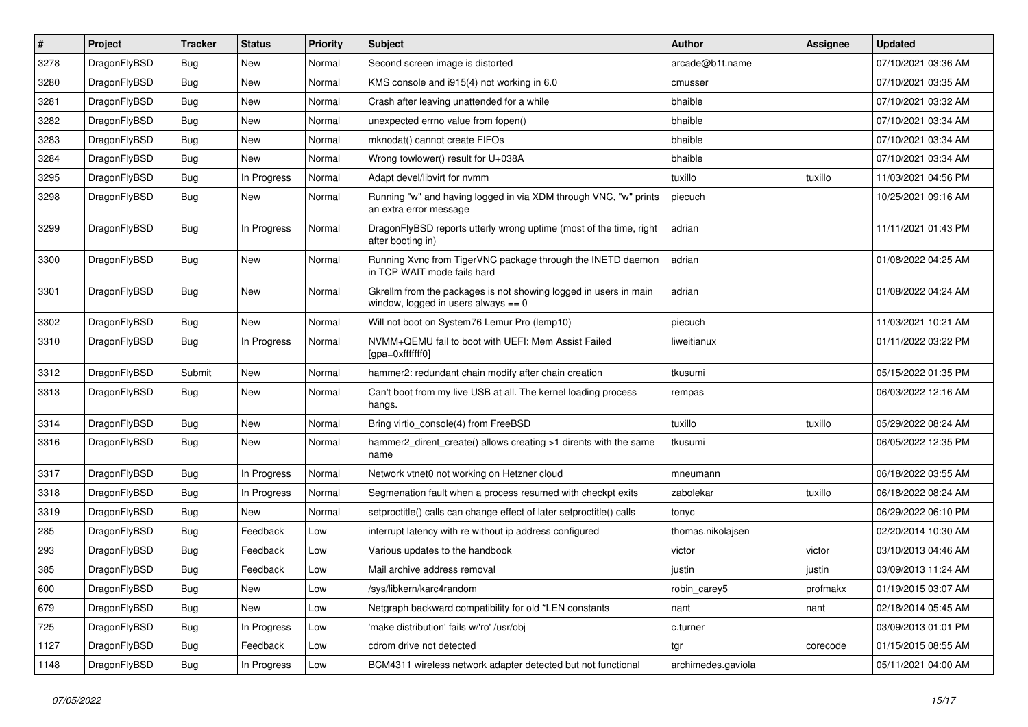| #    | Project      | <b>Tracker</b> | <b>Status</b> | <b>Priority</b> | Subject                                                                                                   | <b>Author</b>      | <b>Assignee</b> | <b>Updated</b>      |
|------|--------------|----------------|---------------|-----------------|-----------------------------------------------------------------------------------------------------------|--------------------|-----------------|---------------------|
| 3278 | DragonFlyBSD | <b>Bug</b>     | <b>New</b>    | Normal          | Second screen image is distorted                                                                          | arcade@b1t.name    |                 | 07/10/2021 03:36 AM |
| 3280 | DragonFlyBSD | Bug            | <b>New</b>    | Normal          | KMS console and i915(4) not working in 6.0                                                                | cmusser            |                 | 07/10/2021 03:35 AM |
| 3281 | DragonFlyBSD | <b>Bug</b>     | <b>New</b>    | Normal          | Crash after leaving unattended for a while                                                                | bhaible            |                 | 07/10/2021 03:32 AM |
| 3282 | DragonFlyBSD | Bug            | <b>New</b>    | Normal          | unexpected errno value from fopen()                                                                       | bhaible            |                 | 07/10/2021 03:34 AM |
| 3283 | DragonFlyBSD | <b>Bug</b>     | <b>New</b>    | Normal          | mknodat() cannot create FIFOs                                                                             | bhaible            |                 | 07/10/2021 03:34 AM |
| 3284 | DragonFlyBSD | <b>Bug</b>     | New           | Normal          | Wrong towlower() result for U+038A                                                                        | bhaible            |                 | 07/10/2021 03:34 AM |
| 3295 | DragonFlyBSD | Bug            | In Progress   | Normal          | Adapt devel/libvirt for nvmm                                                                              | tuxillo            | tuxillo         | 11/03/2021 04:56 PM |
| 3298 | DragonFlyBSD | Bug            | New           | Normal          | Running "w" and having logged in via XDM through VNC, "w" prints<br>an extra error message                | piecuch            |                 | 10/25/2021 09:16 AM |
| 3299 | DragonFlyBSD | Bug            | In Progress   | Normal          | DragonFlyBSD reports utterly wrong uptime (most of the time, right<br>after booting in)                   | adrian             |                 | 11/11/2021 01:43 PM |
| 3300 | DragonFlyBSD | Bug            | New           | Normal          | Running Xvnc from TigerVNC package through the INETD daemon<br>in TCP WAIT mode fails hard                | adrian             |                 | 01/08/2022 04:25 AM |
| 3301 | DragonFlyBSD | <b>Bug</b>     | <b>New</b>    | Normal          | Gkrellm from the packages is not showing logged in users in main<br>window, logged in users always $== 0$ | adrian             |                 | 01/08/2022 04:24 AM |
| 3302 | DragonFlyBSD | <b>Bug</b>     | <b>New</b>    | Normal          | Will not boot on System76 Lemur Pro (lemp10)                                                              | piecuch            |                 | 11/03/2021 10:21 AM |
| 3310 | DragonFlyBSD | Bug            | In Progress   | Normal          | NVMM+QEMU fail to boot with UEFI: Mem Assist Failed<br>[gpa=0xfffffff0]                                   | liweitianux        |                 | 01/11/2022 03:22 PM |
| 3312 | DragonFlyBSD | Submit         | New           | Normal          | hammer2: redundant chain modify after chain creation                                                      | tkusumi            |                 | 05/15/2022 01:35 PM |
| 3313 | DragonFlyBSD | Bug            | <b>New</b>    | Normal          | Can't boot from my live USB at all. The kernel loading process<br>hangs.                                  | rempas             |                 | 06/03/2022 12:16 AM |
| 3314 | DragonFlyBSD | <b>Bug</b>     | <b>New</b>    | Normal          | Bring virtio_console(4) from FreeBSD                                                                      | tuxillo            | tuxillo         | 05/29/2022 08:24 AM |
| 3316 | DragonFlyBSD | Bug            | <b>New</b>    | Normal          | hammer2 dirent create() allows creating >1 dirents with the same<br>name                                  | tkusumi            |                 | 06/05/2022 12:35 PM |
| 3317 | DragonFlyBSD | <b>Bug</b>     | In Progress   | Normal          | Network vtnet0 not working on Hetzner cloud                                                               | mneumann           |                 | 06/18/2022 03:55 AM |
| 3318 | DragonFlyBSD | Bug            | In Progress   | Normal          | Segmenation fault when a process resumed with checkpt exits                                               | zabolekar          | tuxillo         | 06/18/2022 08:24 AM |
| 3319 | DragonFlyBSD | <b>Bug</b>     | New           | Normal          | setproctitle() calls can change effect of later setproctitle() calls                                      | tonyc              |                 | 06/29/2022 06:10 PM |
| 285  | DragonFlyBSD | <b>Bug</b>     | Feedback      | Low             | interrupt latency with re without ip address configured                                                   | thomas.nikolajsen  |                 | 02/20/2014 10:30 AM |
| 293  | DragonFlyBSD | <b>Bug</b>     | Feedback      | Low             | Various updates to the handbook                                                                           | victor             | victor          | 03/10/2013 04:46 AM |
| 385  | DragonFlyBSD | <b>Bug</b>     | Feedback      | Low             | Mail archive address removal                                                                              | justin             | justin          | 03/09/2013 11:24 AM |
| 600  | DragonFlyBSD | <b>Bug</b>     | New           | Low             | /sys/libkern/karc4random                                                                                  | robin_carey5       | profmakx        | 01/19/2015 03:07 AM |
| 679  | DragonFlyBSD | <b>Bug</b>     | New           | Low             | Netgraph backward compatibility for old *LEN constants                                                    | nant               | nant            | 02/18/2014 05:45 AM |
| 725  | DragonFlyBSD | Bug            | In Progress   | Low             | 'make distribution' fails w/'ro' /usr/obj                                                                 | c.turner           |                 | 03/09/2013 01:01 PM |
| 1127 | DragonFlyBSD | <b>Bug</b>     | Feedback      | Low             | cdrom drive not detected                                                                                  | tgr                | corecode        | 01/15/2015 08:55 AM |
| 1148 | DragonFlyBSD | <b>Bug</b>     | In Progress   | Low             | BCM4311 wireless network adapter detected but not functional                                              | archimedes.gaviola |                 | 05/11/2021 04:00 AM |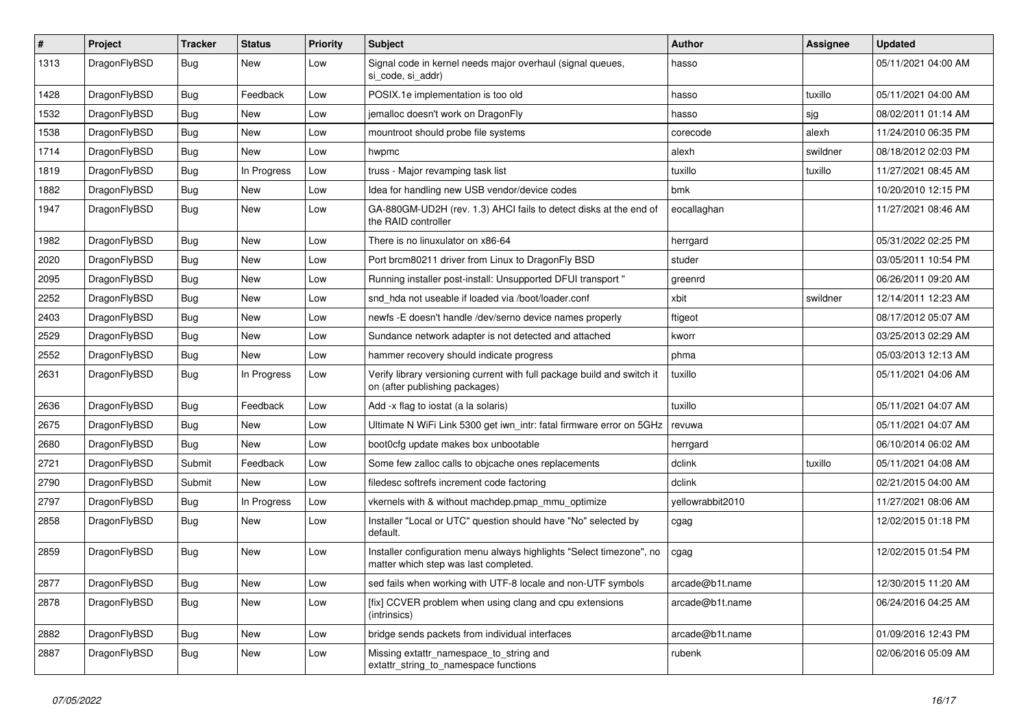| #    | Project      | <b>Tracker</b> | <b>Status</b> | <b>Priority</b> | Subject                                                                                                       | Author           | Assignee | <b>Updated</b>      |
|------|--------------|----------------|---------------|-----------------|---------------------------------------------------------------------------------------------------------------|------------------|----------|---------------------|
| 1313 | DragonFlyBSD | Bug            | New           | Low             | Signal code in kernel needs major overhaul (signal queues,<br>si_code, si_addr)                               | hasso            |          | 05/11/2021 04:00 AM |
| 1428 | DragonFlyBSD | Bug            | Feedback      | Low             | POSIX.1e implementation is too old                                                                            | hasso            | tuxillo  | 05/11/2021 04:00 AM |
| 1532 | DragonFlyBSD | Bug            | <b>New</b>    | Low             | jemalloc doesn't work on DragonFly                                                                            | hasso            | sjg      | 08/02/2011 01:14 AM |
| 1538 | DragonFlyBSD | <b>Bug</b>     | <b>New</b>    | Low             | mountroot should probe file systems                                                                           | corecode         | alexh    | 11/24/2010 06:35 PM |
| 1714 | DragonFlyBSD | <b>Bug</b>     | New           | Low             | hwpmc                                                                                                         | alexh            | swildner | 08/18/2012 02:03 PM |
| 1819 | DragonFlyBSD | Bug            | In Progress   | Low             | truss - Major revamping task list                                                                             | tuxillo          | tuxillo  | 11/27/2021 08:45 AM |
| 1882 | DragonFlyBSD | <b>Bug</b>     | New           | Low             | Idea for handling new USB vendor/device codes                                                                 | bmk              |          | 10/20/2010 12:15 PM |
| 1947 | DragonFlyBSD | Bug            | <b>New</b>    | Low             | GA-880GM-UD2H (rev. 1.3) AHCI fails to detect disks at the end of<br>the RAID controller                      | eocallaghan      |          | 11/27/2021 08:46 AM |
| 1982 | DragonFlyBSD | <b>Bug</b>     | <b>New</b>    | Low             | There is no linuxulator on x86-64                                                                             | herrgard         |          | 05/31/2022 02:25 PM |
| 2020 | DragonFlyBSD | Bug            | <b>New</b>    | Low             | Port brcm80211 driver from Linux to DragonFly BSD                                                             | studer           |          | 03/05/2011 10:54 PM |
| 2095 | DragonFlyBSD | <b>Bug</b>     | <b>New</b>    | Low             | Running installer post-install: Unsupported DFUI transport "                                                  | greenrd          |          | 06/26/2011 09:20 AM |
| 2252 | DragonFlyBSD | <b>Bug</b>     | <b>New</b>    | Low             | snd hda not useable if loaded via /boot/loader.conf                                                           | xbit             | swildner | 12/14/2011 12:23 AM |
| 2403 | DragonFlyBSD | Bug            | <b>New</b>    | Low             | newfs -E doesn't handle /dev/serno device names properly                                                      | ftigeot          |          | 08/17/2012 05:07 AM |
| 2529 | DragonFlyBSD | <b>Bug</b>     | New           | Low             | Sundance network adapter is not detected and attached                                                         | kworr            |          | 03/25/2013 02:29 AM |
| 2552 | DragonFlyBSD | Bug            | <b>New</b>    | Low             | hammer recovery should indicate progress                                                                      | phma             |          | 05/03/2013 12:13 AM |
| 2631 | DragonFlyBSD | Bug            | In Progress   | Low             | Verify library versioning current with full package build and switch it<br>on (after publishing packages)     | tuxillo          |          | 05/11/2021 04:06 AM |
| 2636 | DragonFlyBSD | Bug            | Feedback      | Low             | Add -x flag to iostat (a la solaris)                                                                          | tuxillo          |          | 05/11/2021 04:07 AM |
| 2675 | DragonFlyBSD | <b>Bug</b>     | New           | Low             | Ultimate N WiFi Link 5300 get iwn_intr: fatal firmware error on 5GHz                                          | revuwa           |          | 05/11/2021 04:07 AM |
| 2680 | DragonFlyBSD | Bug            | <b>New</b>    | Low             | boot0cfg update makes box unbootable                                                                          | herrgard         |          | 06/10/2014 06:02 AM |
| 2721 | DragonFlyBSD | Submit         | Feedback      | Low             | Some few zalloc calls to objcache ones replacements                                                           | dclink           | tuxillo  | 05/11/2021 04:08 AM |
| 2790 | DragonFlyBSD | Submit         | New           | Low             | filedesc softrefs increment code factoring                                                                    | dclink           |          | 02/21/2015 04:00 AM |
| 2797 | DragonFlyBSD | Bug            | In Progress   | Low             | vkernels with & without machdep.pmap_mmu_optimize                                                             | yellowrabbit2010 |          | 11/27/2021 08:06 AM |
| 2858 | DragonFlyBSD | Bug            | <b>New</b>    | Low             | Installer "Local or UTC" question should have "No" selected by<br>default.                                    | cgag             |          | 12/02/2015 01:18 PM |
| 2859 | DragonFlyBSD | Bug            | <b>New</b>    | Low             | Installer configuration menu always highlights "Select timezone", no<br>matter which step was last completed. | cgag             |          | 12/02/2015 01:54 PM |
| 2877 | DragonFlyBSD | Bug            | New           | Low             | sed fails when working with UTF-8 locale and non-UTF symbols                                                  | arcade@b1t.name  |          | 12/30/2015 11:20 AM |
| 2878 | DragonFlyBSD | Bug            | New           | Low             | [fix] CCVER problem when using clang and cpu extensions<br>(intrinsics)                                       | arcade@b1t.name  |          | 06/24/2016 04:25 AM |
| 2882 | DragonFlyBSD | <b>Bug</b>     | New           | Low             | bridge sends packets from individual interfaces                                                               | arcade@b1t.name  |          | 01/09/2016 12:43 PM |
| 2887 | DragonFlyBSD | <b>Bug</b>     | New           | Low             | Missing extattr_namespace_to_string and<br>extattr_string_to_namespace functions                              | rubenk           |          | 02/06/2016 05:09 AM |